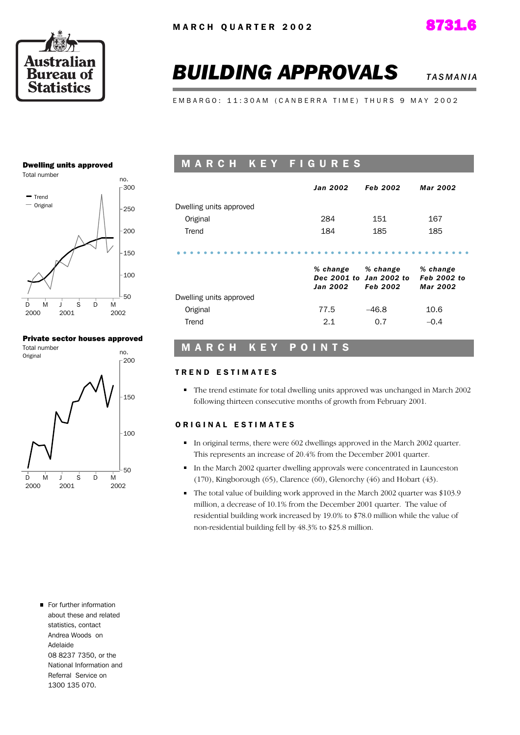





# **BUILDING APPROVALS** *TASMANIA***</del>**

E M B A R G O : 11:30 A M ( C A N B E R R A T I M E ) T H U R S 9 M A Y 2002

#### Dwelling units approved



#### Private sector houses approved



## M A R C H K E Y F I G U R E S

|                         | Jan 2002             | <b>Feb 2002</b>                                        | Mar 2002                            |
|-------------------------|----------------------|--------------------------------------------------------|-------------------------------------|
| Dwelling units approved |                      |                                                        |                                     |
| Original                | 284                  | 151                                                    | 167                                 |
| Trend                   | 184                  | 185                                                    | 185                                 |
|                         | % change<br>Jan 2002 | % change<br>Dec 2001 to Jan 2002 to<br><b>Feb 2002</b> | % change<br>Feb 2002 to<br>Mar 2002 |
| Dwelling units approved |                      |                                                        |                                     |
| Original                | 77.5                 | $-46.8$                                                | 10.6                                |
| Trend                   | 2.1                  | 0.7                                                    | $-0.4$                              |

### M A R C H K E Y P O I N T S

#### TREND ESTIMATES

The trend estimate for total dwelling units approved was unchanged in March 2002 following thirteen consecutive months of growth from February 2001.

#### ORIGINAL ESTIMATES

- In original terms, there were 602 dwellings approved in the March 2002 quarter. This represents an increase of 20.4% from the December 2001 quarter.
- In the March 2002 quarter dwelling approvals were concentrated in Launceston (170), Kingborough (65), Clarence (60), Glenorchy (46) and Hobart (43).
- The total value of building work approved in the March 2002 quarter was \$103.9 million, a decrease of 10.1% from the December 2001 quarter. The value of residential building work increased by 19.0% to \$78.0 million while the value of non-residential building fell by 48.3% to \$25.8 million.

For further information about these and related statistics, contact Andrea Woods on Adelaide 08 8237 7350, or the National Information and Referral Service on 1300 135 070.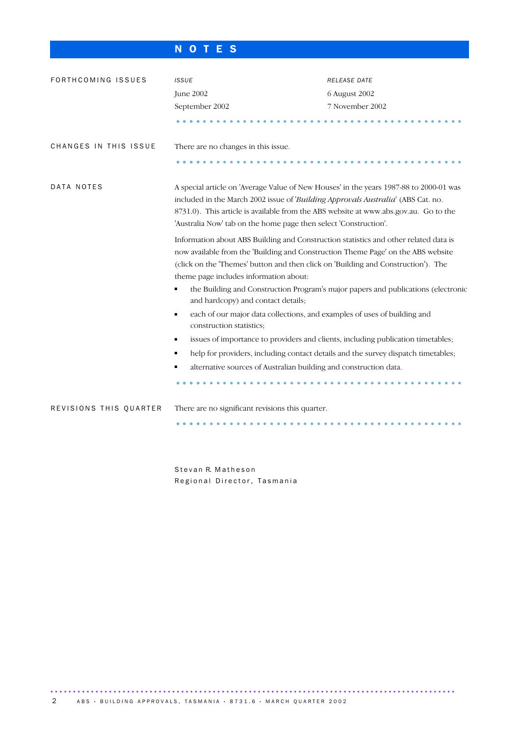# N O T E S

| FORTHCOMING ISSUES     | <b>ISSUE</b>                                                                                                                                                                                                                                                                                                                           | RELEASE DATE                                                                                                                                                                                                                                                  |  |  |  |  |
|------------------------|----------------------------------------------------------------------------------------------------------------------------------------------------------------------------------------------------------------------------------------------------------------------------------------------------------------------------------------|---------------------------------------------------------------------------------------------------------------------------------------------------------------------------------------------------------------------------------------------------------------|--|--|--|--|
|                        | June 2002                                                                                                                                                                                                                                                                                                                              | 6 August 2002                                                                                                                                                                                                                                                 |  |  |  |  |
|                        | September 2002                                                                                                                                                                                                                                                                                                                         | 7 November 2002                                                                                                                                                                                                                                               |  |  |  |  |
|                        |                                                                                                                                                                                                                                                                                                                                        |                                                                                                                                                                                                                                                               |  |  |  |  |
| CHANGES IN THIS ISSUE  | There are no changes in this issue.                                                                                                                                                                                                                                                                                                    |                                                                                                                                                                                                                                                               |  |  |  |  |
|                        |                                                                                                                                                                                                                                                                                                                                        |                                                                                                                                                                                                                                                               |  |  |  |  |
| DATA NOTES             | A special article on 'Average Value of New Houses' in the years 1987-88 to 2000-01 was<br>included in the March 2002 issue of 'Building Approvals Australia' (ABS Cat. no.<br>8731.0). This article is available from the ABS website at www.abs.gov.au. Go to the<br>'Australia Now' tab on the home page then select 'Construction'. |                                                                                                                                                                                                                                                               |  |  |  |  |
|                        | theme page includes information about:                                                                                                                                                                                                                                                                                                 | Information about ABS Building and Construction statistics and other related data is<br>now available from the 'Building and Construction Theme Page' on the ABS website<br>(click on the 'Themes' button and then click on 'Building and Construction'). The |  |  |  |  |
|                        | and hardcopy) and contact details;                                                                                                                                                                                                                                                                                                     | the Building and Construction Program's major papers and publications (electronic                                                                                                                                                                             |  |  |  |  |
|                        | each of our major data collections, and examples of uses of building and<br>٠<br>construction statistics;                                                                                                                                                                                                                              |                                                                                                                                                                                                                                                               |  |  |  |  |
|                        | issues of importance to providers and clients, including publication timetables;                                                                                                                                                                                                                                                       |                                                                                                                                                                                                                                                               |  |  |  |  |
|                        | ٠                                                                                                                                                                                                                                                                                                                                      | help for providers, including contact details and the survey dispatch timetables;                                                                                                                                                                             |  |  |  |  |
|                        | alternative sources of Australian building and construction data.                                                                                                                                                                                                                                                                      |                                                                                                                                                                                                                                                               |  |  |  |  |
|                        |                                                                                                                                                                                                                                                                                                                                        |                                                                                                                                                                                                                                                               |  |  |  |  |
| REVISIONS THIS QUARTER | There are no significant revisions this quarter.                                                                                                                                                                                                                                                                                       |                                                                                                                                                                                                                                                               |  |  |  |  |
|                        |                                                                                                                                                                                                                                                                                                                                        |                                                                                                                                                                                                                                                               |  |  |  |  |

Stevan R. Matheson Regional Director, Tasmania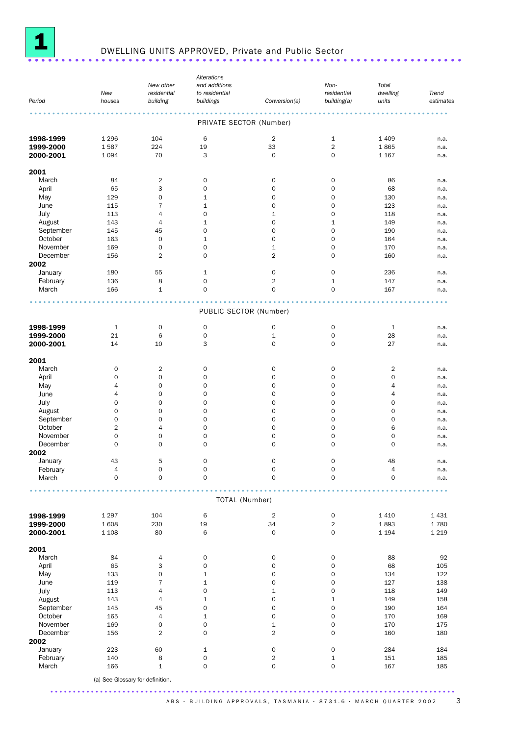

# **1** DWELLING UNITS APPROVED, Private and Public Sector .........................

|                        |                                  |                     | Alterations             |                           |                     |                 |              |
|------------------------|----------------------------------|---------------------|-------------------------|---------------------------|---------------------|-----------------|--------------|
|                        |                                  | New other           | and additions           |                           | Non-                | Total           |              |
|                        | New                              | residential         | to residential          |                           | residential         | dwelling        | Trend        |
| Period                 | houses                           | building            | buildings               | Conversion(a)             | building(a)         | units           | estimates    |
|                        |                                  |                     | PRIVATE SECTOR (Number) |                           |                     |                 |              |
|                        |                                  |                     |                         |                           |                     |                 |              |
| 1998-1999              | 1 2 9 6                          | 104                 | 6                       | $\overline{2}$            | 1                   | 1 4 0 9         | n.a.         |
| 1999-2000<br>2000-2001 | 1587<br>1 0 9 4                  | 224<br>70           | 19<br>3                 | 33<br>$\mathsf{O}\xspace$ | $\overline{2}$<br>0 | 1865<br>1 1 6 7 | n.a.<br>n.a. |
|                        |                                  |                     |                         |                           |                     |                 |              |
| 2001                   |                                  |                     |                         |                           |                     |                 |              |
| March                  | 84                               | $\overline{2}$      | 0                       | 0                         | $\mathbf 0$         | 86              | n.a.         |
| April                  | 65                               | 3                   | 0                       | 0                         | $\mathbf 0$         | 68              | n.a.         |
| May                    | 129                              | 0                   | $\mathbf 1$             | 0                         | $\mathbf 0$         | 130             | n.a.         |
| June                   | 115                              | $\overline{7}$      | $\mathbf 1$             | 0                         | 0                   | 123             | n.a.         |
| July                   | 113                              | $\overline{4}$      | 0                       | $\mathbf{1}$              | 0                   | 118             | n.a.         |
| August                 | 143                              | $\overline{4}$      | $\mathbf 1$             | 0                         | $1\,$               | 149             | n.a.         |
| September              | 145                              | 45                  | 0                       | $\mathbf 0$               | $\mathbf 0$         | 190             | n.a.         |
| October                | 163                              | $\mathbf 0$         | $\mathbf 1$             | 0                         | $\mathbf 0$         | 164             | n.a.         |
| November               | 169                              | $\mathbf 0$         | 0                       | $\mathbf 1$               | 0                   | 170             | n.a.         |
| December               | 156                              | $\overline{2}$      | $\mathbf 0$             | $\overline{2}$            | $\mathbf 0$         | 160             | n.a.         |
| 2002                   |                                  |                     |                         |                           |                     |                 |              |
| January                | 180                              | 55                  | 1                       | 0                         | $\mathbf 0$         | 236             | n.a.         |
| February               | 136                              | 8                   | 0                       | $\overline{2}$            | $1\,$               | 147             | n.a.         |
| March                  | 166                              | $\mathbf{1}$        | 0                       | $\mathbf 0$               | 0                   | 167             | n.a.         |
|                        |                                  |                     | PUBLIC SECTOR (Number)  |                           |                     |                 |              |
|                        |                                  |                     |                         |                           |                     |                 |              |
| 1998-1999              | $\mathbf{1}$                     | $\mathsf{O}\xspace$ | $\mathsf{O}\xspace$     | 0                         | $\mathbf 0$         | $\mathbf{1}$    | n.a.         |
| 1999-2000              | 21                               | 6                   | $\mathbf 0$             | $\mathbf 1$               | $\mathsf{O}\xspace$ | 28              | n.a.         |
| 2000-2001              | 14                               | 10                  | 3                       | $\mathbf 0$               | $\mathbf 0$         | 27              | n.a.         |
| 2001                   |                                  |                     |                         |                           |                     |                 |              |
| March                  | 0                                | $\overline{2}$      | 0                       | 0                         | $\mathbf 0$         | $\overline{2}$  | n.a.         |
| April                  | 0                                | $\mathbf 0$         | $\mathbf 0$             | $\mathbf 0$               | $\mathbf 0$         | 0               | n.a.         |
| May                    | 4                                | $\mathbf 0$         | 0                       | 0                         | 0                   | 4               | n.a.         |
| June                   | 4                                | $\mathbf 0$         | 0                       | $\mathbf 0$               | 0                   | 4               | n.a.         |
| July                   | 0                                | $\mathbf 0$         | 0                       | 0                         | $\mathbf 0$         | 0               | n.a.         |
| August                 | 0                                | $\mathbf 0$         | 0                       | 0                         | 0                   | 0               | n.a.         |
| September              | 0                                | $\mathbf 0$         | 0                       | $\mathbf 0$               | $\mathbf 0$         | 0               | n.a.         |
| October                | $\overline{2}$                   | $\overline{4}$      | 0                       | 0                         | 0                   | 6               | n.a.         |
| November               | 0                                | $\mathbf 0$         | 0                       | 0                         | 0                   | 0               | n.a.         |
| December               | 0                                | 0                   | 0                       | 0                         | $\mathbf 0$         | 0               |              |
| 2002                   |                                  |                     |                         |                           |                     |                 | n.a.         |
| January                | 43                               | 5                   | 0                       | 0                         | $\mathbf 0$         | 48              |              |
|                        |                                  |                     |                         |                           |                     | 4               | n.a.         |
| February<br>March      | 4<br>$\mathsf{O}\xspace$         | 0<br>$\mathbf 0$    | 0<br>$\mathbf 0$        | 0<br>$\mathsf{O}\xspace$  | 0<br>$\mathbf 0$    | 0               | n.a.<br>n.a. |
|                        |                                  |                     |                         |                           |                     |                 |              |
|                        |                                  |                     | TOTAL (Number)          |                           |                     |                 |              |
| 1998-1999              | 1 2 9 7                          | 104                 | 6                       | $\overline{2}$            | $\mathsf{O}$        | 1 4 1 0         | 1 4 3 1      |
| 1999-2000              | 1 608                            | 230                 | 19                      | 34                        | $\overline{2}$      | 1893            | 1780         |
| 2000-2001              | 1 1 0 8                          | 80                  | 6                       | 0                         | 0                   | 1 1 9 4         | 1 2 1 9      |
| 2001                   |                                  |                     |                         |                           |                     |                 |              |
| March                  | 84                               | 4                   | 0                       | 0                         | $\mathsf{O}\xspace$ | 88              | 92           |
| April                  | 65                               | 3                   | $\mathsf{O}\xspace$     | $\mathsf{O}\xspace$       | $\mathsf{O}\xspace$ | 68              | 105          |
| May                    | 133                              | $\mathbf 0$         | $\mathbf 1$             | $\mathsf{O}\xspace$       | $\mathsf{O}\xspace$ | 134             | 122          |
| June                   | 119                              | $\overline{7}$      | $\mathbf 1$             | 0                         | 0                   | 127             | 138          |
| July                   | 113                              | $\overline{4}$      | 0                       | $\mathbf{1}$              | $\mathsf{O}\xspace$ | 118             | 149          |
| August                 | 143                              | $\overline{4}$      | 1                       | 0                         | $\mathbf 1$         | 149             | 158          |
| September              | 145                              | 45                  | $\mathsf{O}\xspace$     | $\mathsf{O}\xspace$       | $\mathsf{O}\xspace$ | 190             | 164          |
| October                | 165                              | $\overline{4}$      | $\mathbf 1$             | $\mathsf{O}\xspace$       | $\mathbf 0$         | 170             | 169          |
| November               | 169                              | 0                   | 0                       | $\mathbf 1$               | 0                   | 170             | 175          |
| December               |                                  | $\overline{2}$      | $\mathbf 0$             | $\overline{2}$            | $\mathsf{O}\xspace$ | 160             |              |
| 2002                   | 156                              |                     |                         |                           |                     |                 | 180          |
| January                | 223                              | 60                  | $\mathbf 1$             | 0                         | $\mathsf{O}\xspace$ | 284             | 184          |
| February               | 140                              | 8                   | $\mathsf{O}\xspace$     | $\overline{\mathbf{c}}$   | 1                   | 151             | 185          |
| March                  | 166                              | $\mathbf 1$         | $\mathbf 0$             | 0                         | $\mathsf{O}\xspace$ | 167             | 185          |
|                        |                                  |                     |                         |                           |                     |                 |              |
|                        | (a) See Glossary for definition. |                     |                         |                           |                     |                 |              |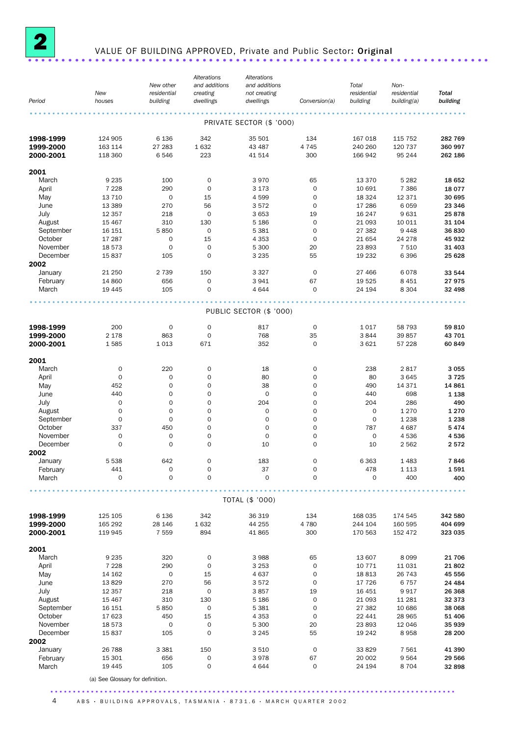

# <sup>2</sup> VALUE OF BUILDING APPROVED, Private and Public Sector: Original .....................................................................

|                        |                                  | New other               | Alterations<br>and additions | Alterations<br>and additions |                            | Total                   | Non-                       |                          |
|------------------------|----------------------------------|-------------------------|------------------------------|------------------------------|----------------------------|-------------------------|----------------------------|--------------------------|
| Period                 | New<br>houses                    | residential<br>building | creating<br>dwellings        | not creating<br>dwellings    | Conversion(a)              | residential<br>building | residential<br>building(a) | <b>Total</b><br>building |
|                        |                                  |                         |                              |                              |                            |                         |                            |                          |
|                        |                                  |                         |                              | PRIVATE SECTOR (\$ '000)     |                            |                         |                            |                          |
|                        | 124 905                          |                         | 342                          |                              |                            | 167 018                 | 115 752                    |                          |
| 1998-1999<br>1999-2000 | 163 114                          | 6 1 3 6<br>27 283       | 1632                         | 35 501<br>43 487             | 134<br>4 7 4 5             | 240 260                 | 120 737                    | 282 769<br>360 997       |
| 2000-2001              | 118 360                          | 6546                    | 223                          | 41 514                       | 300                        | 166 942                 | 95 244                     | 262 186                  |
|                        |                                  |                         |                              |                              |                            |                         |                            |                          |
| 2001                   |                                  |                         |                              |                              |                            |                         |                            |                          |
| March                  | 9 2 3 5                          | 100                     | 0                            | 3970                         | 65                         | 13 370                  | 5 2 8 2                    | 18 652                   |
| April                  | 7 2 2 8                          | 290                     | $\mathbf 0$                  | 3 1 7 3                      | $\mathbf 0$                | 10 691                  | 7 3 8 6                    | 18 0 77                  |
| May                    | 13 7 10                          | $\mathbf 0$             | 15                           | 4599                         | $\mathbf 0$                | 18 3 24                 | 12 371                     | 30 695                   |
| June<br>July           | 13 3 89<br>12 3 5 7              | 270<br>218              | 56<br>0                      | 3572<br>3 6 5 3              | 0<br>19                    | 17 286<br>16 247        | 6059<br>9631               | 23 346<br>25878          |
| August                 | 15 4 67                          | 310                     | 130                          | 5 1 8 6                      | $\mathbf 0$                | 21 093                  | 10 011                     | 31 104                   |
| September              | 16 151                           | 5850                    | $\mathbf 0$                  | 5 3 8 1                      | $\circ$                    | 27 382                  | 9448                       | 36830                    |
| October                | 17 287                           | $\mathbf 0$             | 15                           | 4 3 5 3                      | 0                          | 21 654                  | 24 278                     | 45 932                   |
| November               | 18 573                           | $\mathbf 0$             | 0                            | 5 3 0 0                      | 20                         | 23 893                  | 7 5 1 0                    | 31 403                   |
| December               | 15837                            | 105                     | $\mathbf 0$                  | 3 2 3 5                      | 55                         | 19 232                  | 6396                       | 25 6 28                  |
| 2002                   |                                  |                         |                              |                              |                            |                         |                            |                          |
| January                | 21 250                           | 2 7 3 9                 | 150                          | 3 3 2 7                      | $\circ$                    | 27 466                  | 6078                       | 33 544                   |
| February               | 14 860                           | 656                     | $\mathbf 0$                  | 3941                         | 67                         | 19 5 25                 | 8 4 5 1                    | 27975                    |
| March                  | 19 4 45                          | 105                     | $\mathbf 0$                  | 4 6 4 4                      | 0                          | 24 194                  | 8 3 0 4                    | 32 498                   |
|                        |                                  |                         |                              | PUBLIC SECTOR (\$ '000)      |                            |                         |                            |                          |
| 1998-1999              | 200                              | $\mathbf 0$             | $\mathbf 0$                  | 817                          | $\mathbf 0$                | 1 0 1 7                 | 58 793                     | 59810                    |
| 1999-2000              | 2 1 7 8                          | 863                     | 0                            | 768                          | 35                         | 3844                    | 39 857                     | 43 701                   |
| 2000-2001              | 1585                             | 1 0 1 3                 | 671                          | 352                          | $\mathbf 0$                | 3 6 2 1                 | 57 228                     | 60 849                   |
| 2001                   |                                  |                         |                              |                              |                            |                         |                            |                          |
| March                  | 0                                | 220                     | $\mathbf 0$                  | 18                           | 0                          | 238                     | 2817                       | 3 0 5 5                  |
| April                  | $\mathbf 0$                      | $\mathbf 0$             | $\mathbf 0$                  | 80                           | $\mathbf 0$                | 80                      | 3 6 4 5                    | 3725                     |
| May                    | 452                              | 0                       | $\mathbf 0$                  | 38                           | $\mathbf 0$                | 490                     | 14 371                     | 14 861                   |
| June                   | 440                              | 0                       | 0                            | 0                            | 0                          | 440                     | 698                        | 1 1 3 8                  |
| July                   | $\mathbf 0$                      | $\mathbf 0$             | $\mathbf 0$                  | 204                          | $\mathbf 0$                | 204                     | 286                        | 490                      |
| August                 | $\mathbf 0$                      | $\mathbf 0$             | $\mathbf 0$                  | $\mathbf 0$                  | $\mathbf 0$                | $\mathbf 0$             | 1 2 7 0                    | 1 2 7 0                  |
| September              | $\mathbf 0$                      | $\mathbf 0$             | $\mathbf 0$                  | $\mathbf{O}$                 | $\circ$                    | 0                       | 1 2 3 8                    | 1 2 3 8                  |
| October                | 337                              | 450                     | $\mathbf 0$                  | 0                            | $\mathbf 0$                | 787                     | 4687                       | 5474                     |
| November               | 0                                | 0                       | 0                            | $\mathsf{O}\xspace$          | 0                          | 0                       | 4536                       | 4536                     |
| December               | $\mathbf 0$                      | $\mathbf 0$             | $\mathbf 0$                  | 10                           | $\mathbf 0$                | 10                      | 2 562                      | 2572                     |
| 2002                   |                                  |                         |                              |                              | $\mathbf 0$                |                         |                            |                          |
| January                | 5 5 3 8<br>441                   | 642<br>0                | 0<br>$\mathsf{O}\xspace$     | 183<br>37                    | $\mathbf 0$                | 6 3 6 3                 | 1 4 8 3<br>1 1 1 3         | 7846<br>1591             |
| February<br>March      | 0                                | 0                       | $\mathbf 0$                  | $\mathbf 0$                  | $\mathbf 0$                | 478<br>0                | 400                        | 400                      |
|                        |                                  |                         |                              |                              |                            |                         |                            |                          |
|                        |                                  |                         |                              | TOTAL (\$ '000)              |                            |                         |                            |                          |
| 1998-1999              | 125 105                          | 6 1 3 6                 | 342                          | 36 319                       | 134                        | 168 035                 | 174 545                    | 342 580                  |
| 1999-2000              | 165 292                          | 28 146                  | 1632                         | 44 255                       | 4 7 8 0                    | 244 104                 | 160 595                    | 404 699                  |
| 2000-2001              | 119 945                          | 7 5 5 9                 | 894                          | 41 865                       | 300                        | 170 563                 | 152 472                    | 323 035                  |
| 2001                   |                                  |                         |                              |                              |                            |                         |                            |                          |
| March                  | 9 2 3 5                          | 320                     | $\mathbf 0$                  | 3988                         | 65                         | 13 607                  | 8 0 9 9                    | 21 706                   |
| April                  | 7 2 2 8                          | 290                     | $\mathbf 0$                  | 3 2 5 3                      | $\mathbf 0$                | 10 771                  | 11 0 31                    | 21 802                   |
| May                    | 14 162                           | $\boldsymbol{0}$        | 15                           | 4 6 3 7                      | 0                          | 18813                   | 26 743                     | 45 556                   |
| June                   | 13829                            | 270                     | 56                           | 3572                         | 0                          | 17 726                  | 6757                       | 24 4 84                  |
| July                   | 12 3 5 7                         | 218                     | 0                            | 3857                         | 19                         | 16 451                  | 9917                       | 26 368                   |
| August<br>September    | 15 4 67<br>16 15 1               | 310<br>5850             | 130<br>$\mathbf 0$           | 5 1 8 6<br>5 3 8 1           | $\mathbf 0$<br>$\mathbf 0$ | 21 093<br>27 382        | 11 281<br>10 686           | 32 373<br>38 068         |
| October                | 17 623                           | 450                     | 15                           | 4 3 5 3                      | 0                          | 22 441                  | 28 965                     | 51 406                   |
| November               | 18 573                           | $\mathbf 0$             | $\mathsf{O}\xspace$          | 5 3 0 0                      | 20                         | 23 893                  | 12 046                     | 35 939                   |
| December               | 15837                            | 105                     | $\mathbf 0$                  | 3 2 4 5                      | 55                         | 19 24 2                 | 8958                       | 28 200                   |
| 2002                   |                                  |                         |                              |                              |                            |                         |                            |                          |
| January                | 26 788                           | 3 3 8 1                 | 150                          | 3510                         | $\mathbf 0$                | 33 829                  | 7 5 6 1                    | 41 390                   |
| February               | 15 301                           | 656                     | $\mathsf{O}\xspace$          | 3978                         | 67                         | 20 002                  | 9564                       | 29 566                   |
| March                  | 19 4 45                          | 105                     | $\mathbf 0$                  | 4644                         | $\mathbf 0$                | 24 194                  | 8704                       | 32 898                   |
|                        | (a) See Glossary for definition. |                         |                              |                              |                            |                         |                            |                          |

4 ABS · BUILDING APPROVALS, TASMANIA · 8731.6 · MARCH QUARTER 2002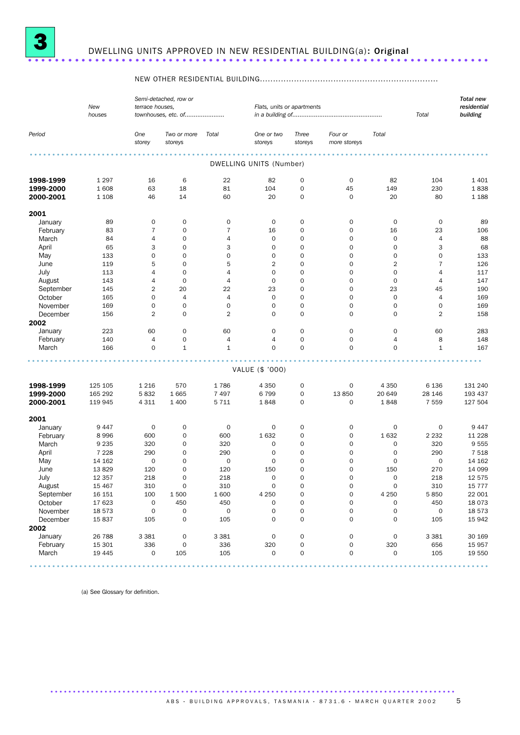

# <sup>3</sup> DWELLING UNITS APPROVED IN NEW RESIDENTIAL BUILDING(a): Original .....................................................................

### NEW OTHER RESIDENTIAL BUILDING....................................................................

|           | New<br>houses |                     | Semi-detached, row or<br>terrace houses,<br>townhouses, etc. of |                     |                         | Flats, units or apartments | Total                   | <b>Total new</b><br>residential<br>building |                     |         |
|-----------|---------------|---------------------|-----------------------------------------------------------------|---------------------|-------------------------|----------------------------|-------------------------|---------------------------------------------|---------------------|---------|
| Period    |               | One<br>storey       | Two or more<br>storeys                                          | Total               | One or two<br>storeys   | Three<br>storeys           | Four or<br>more storeys | Total                                       |                     |         |
|           |               |                     |                                                                 |                     | DWELLING UNITS (Number) |                            |                         |                                             |                     |         |
| 1998-1999 | 1 2 9 7       | 16                  | 6                                                               | 22                  | 82                      | 0                          | $\mathsf{O}$            | 82                                          | 104                 | 1 4 0 1 |
| 1999-2000 | 1608          | 63                  | 18                                                              | 81                  | 104                     | 0                          | 45                      | 149                                         | 230                 | 1838    |
| 2000-2001 | 1 1 0 8       | 46                  | 14                                                              | 60                  | 20                      | $\mathbf 0$                | $\mathbf 0$             | 20                                          | 80                  | 1 1 8 8 |
| 2001      |               |                     |                                                                 |                     |                         |                            |                         |                                             |                     |         |
| January   | 89            | $\mathsf O$         | 0                                                               | $\mathbf 0$         | $\mathbf 0$             | 0                          | $\mathbf 0$             | 0                                           | $\mathbf 0$         | 89      |
| February  | 83            | $\overline{7}$      | 0                                                               | $\bf 7$             | 16                      | 0                          | $\mathbf 0$             | 16                                          | 23                  | 106     |
| March     | 84            | 4                   | $\mathbf 0$                                                     | 4                   | $\mathbf 0$             | 0                          | $\mathbf 0$             | 0                                           | $\overline{4}$      | 88      |
| April     | 65            | 3                   | $\mathbf 0$                                                     | 3                   | $\mathbf 0$             | 0                          | $\mathbf 0$             | 0                                           | 3                   | 68      |
| May       | 133           | 0                   | 0                                                               | $\mathsf{O}\xspace$ | $\mathbf 0$             | 0                          | $\mathbf 0$             | 0                                           | $\mathbf 0$         | 133     |
| June      | 119           | 5                   | $\mathbf 0$                                                     | 5                   | $\overline{2}$          | 0                          | $\mathbf 0$             | $\overline{2}$                              | $\overline{7}$      | 126     |
| July      | 113           | 4                   | $\mathbf 0$                                                     | $\overline{4}$      | $\mathbf 0$             | 0                          | $\mathbf 0$             | 0                                           | $\overline{4}$      | 117     |
| August    | 143           | 4                   | $\mathbf 0$                                                     | $\overline{4}$      | $\mathbf 0$             | 0                          | $\mathbf 0$             | $\mathbf 0$                                 | $\overline{4}$      | 147     |
| September | 145           | 2                   | 20                                                              | 22                  | 23                      | 0                          | $\mathbf 0$             | 23                                          | 45                  | 190     |
| October   | 165           | 0                   | $\overline{4}$                                                  | $\overline{4}$      | $\mathbf 0$             | 0                          | 0                       | 0                                           | $\overline{4}$      | 169     |
| November  | 169           | 0                   | $\mathsf{O}$                                                    | 0                   | $\mathbf 0$             | 0                          | $\mathbf 0$             | $\mathbf 0$                                 | $\mathbf 0$         | 169     |
| December  | 156           | 2                   | 0                                                               | $\overline{2}$      | $\mathbf 0$             | $\mathbf 0$                | $\mathbf 0$             | $\mathbf 0$                                 | $\overline{2}$      | 158     |
| 2002      |               |                     |                                                                 |                     |                         |                            |                         |                                             |                     |         |
| January   | 223           | 60                  | $\mathbf 0$                                                     | 60                  | $\mathbf 0$             | 0                          | $\mathbf 0$             | 0                                           | 60                  | 283     |
| February  | 140           | 4                   | 0                                                               | $\overline{4}$      | $\overline{4}$          | 0                          | 0                       | 4                                           | 8                   | 148     |
| March     | 166           | $\mathbf 0$         | $\mathbf{1}$                                                    | $\mathbf 1$         | $\mathbf 0$             | $\mathbf 0$                | $\mathbf 0$             | 0                                           | $\mathbf{1}$        | 167     |
|           |               |                     |                                                                 |                     |                         |                            |                         |                                             |                     |         |
|           |               |                     |                                                                 |                     | VALUE (\$ '000)         |                            |                         |                                             |                     |         |
| 1998-1999 | 125 105       | 1 2 1 6             | 570                                                             | 1786                | 4 3 5 0                 | 0                          | $\mathbf 0$             | 4 3 5 0                                     | 6 1 3 6             | 131 240 |
| 1999-2000 | 165 292       | 5832                | 1665                                                            | 7497                | 6799                    | 0                          | 13850                   | 20 649                                      | 28 146              | 193 437 |
| 2000-2001 | 119 945       | 4 3 1 1             | 1 4 0 0                                                         | 5 7 1 1             | 1848                    | 0                          | $\mathbf 0$             | 1848                                        | 7 5 5 9             | 127 504 |
| 2001      |               |                     |                                                                 |                     |                         |                            |                         |                                             |                     |         |
| January   | 9447          | $\mathbf 0$         | 0                                                               | $\mathbf 0$         | $\mathbf 0$             | 0                          | $\mathbf 0$             | 0                                           | $\mathbf 0$         | 9447    |
| February  | 8996          | 600                 | $\mathbf 0$                                                     | 600                 | 1632                    | 0                          | $\mathbf 0$             | 1632                                        | 2 2 3 2             | 11 228  |
| March     | 9 2 3 5       | 320                 | 0                                                               | 320                 | 0                       | 0                          | 0                       | 0                                           | 320                 | 9555    |
| April     | 7 2 2 8       | 290                 | $\mathbf 0$                                                     | 290                 | $\mathbf 0$             | $\mathbf 0$                | $\mathbf 0$             | 0                                           | 290                 | 7 5 1 8 |
| May       | 14 162        | 0                   | 0                                                               | $\mathbf 0$         | $\mathbf 0$             | 0                          | 0                       | 0                                           | $\mathsf{O}\xspace$ | 14 162  |
| June      | 13829         | 120                 | $\mathbf 0$                                                     | 120                 | 150                     | 0                          | $\mathbf 0$             | 150                                         | 270                 | 14 099  |
| July      | 12 3 5 7      | 218                 | $\mathbf 0$                                                     | 218                 | $\mathbf 0$             | $\mathbf 0$                | $\mathbf 0$             | $\mathbf 0$                                 | 218                 | 12 575  |
| August    | 15 4 67       | 310                 | 0                                                               | 310                 | 0                       | 0                          | O                       | 0                                           | 310                 | 15 777  |
| September | 16 151        | 100                 | 1 500                                                           | 1600                | 4 2 5 0                 | 0                          | $\mathbf 0$             | 4 2 5 0                                     | 5 8 5 0             | 22 001  |
| October   | 17 623        | $\pmb{0}$           | 450                                                             | 450                 | 0                       | 0                          | $\mathsf{O}\xspace$     | 0                                           | 450                 | 18 073  |
| November  | 18 573        | $\mathsf{O}\xspace$ | 0                                                               | $\mathbf 0$         | $\mathsf{O}\xspace$     | 0                          | $\mathsf{O}\xspace$     | 0                                           | 0                   | 18 573  |
| December  | 15837         | 105                 | 0                                                               | 105                 | $\mathsf{O}\xspace$     | 0                          | $\mathsf{O}\xspace$     | 0                                           | 105                 | 15 942  |
| 2002      |               |                     |                                                                 |                     |                         |                            |                         |                                             |                     |         |
| January   | 26 788        | 3 3 8 1             | $\mathbf 0$                                                     | 3 3 8 1             | $\mathsf{O}\xspace$     | 0                          | $\mathsf{O}\xspace$     | 0                                           | 3 3 8 1             | 30 169  |
| February  | 15 301        | 336                 | 0                                                               | 336                 | 320                     | 0                          | $\mathsf{O}\xspace$     | 320                                         | 656                 | 15 957  |
| March     | 19 4 45       | $\mathsf{O}\xspace$ | 105                                                             | 105                 | 0                       | 0                          | $\mathbf 0$             | $\mathsf{O}\xspace$                         | 105                 | 19 550  |
|           |               |                     |                                                                 |                     |                         |                            |                         |                                             |                     |         |

(a) See Glossary for definition.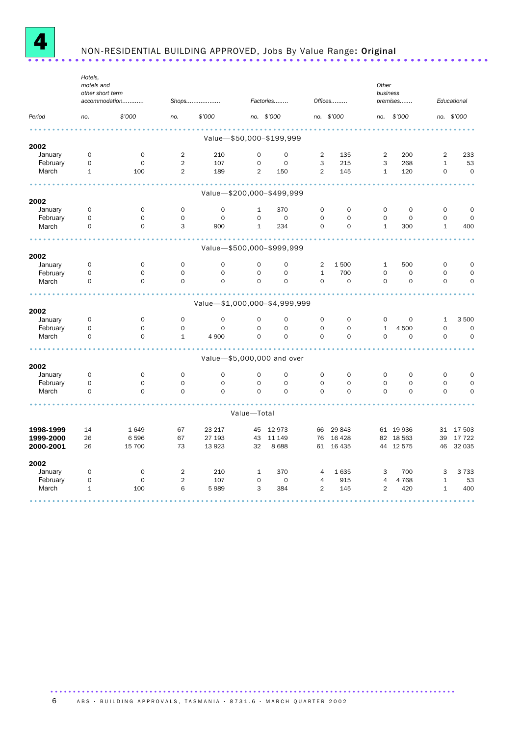

# NON-RESIDENTIAL BUILDING APPROVED, Jobs By Value Range: Original .....................................................................

|           | Hotels,<br>motels and<br>other short term |                     |                |                               |                |                          |                |                     | Other<br>business |             |              |             |
|-----------|-------------------------------------------|---------------------|----------------|-------------------------------|----------------|--------------------------|----------------|---------------------|-------------------|-------------|--------------|-------------|
|           |                                           | accommodation       |                | Shops                         |                | Factories                |                | Offices             |                   | premises    |              | Educational |
| Period    | no.                                       | \$'000              | no.            | \$'000                        |                | no. \$'000               |                | no. \$'000          | no.               | \$'000      |              | no. \$'000  |
|           |                                           |                     |                |                               |                |                          |                |                     |                   |             |              |             |
| 2002      |                                           |                     |                |                               |                | Value-\$50,000-\$199,999 |                |                     |                   |             |              |             |
| January   | $\mathbf 0$                               | $\mathbf 0$         | $\overline{2}$ | 210                           | $\mathbf 0$    | $\mathbf 0$              | $\overline{2}$ | 135                 | $\overline{2}$    | 200         | 2            | 233         |
| February  | 0                                         | $\mathbf 0$         | $\overline{2}$ | 107                           | $\mathbf 0$    | $\mathbf 0$              | 3              | 215                 | 3                 | 268         | $\mathbf{1}$ | 53          |
| March     | $\mathbf{1}$                              | 100                 | $\overline{2}$ | 189                           | $\overline{2}$ | 150                      | $\overline{2}$ | 145                 | $\mathbf{1}$      | 120         | $\mathbf 0$  | $\mathbf 0$ |
|           |                                           |                     |                | Value-\$200,000-\$499,999     |                |                          |                |                     |                   |             |              |             |
| 2002      |                                           |                     |                |                               |                |                          |                |                     |                   |             |              |             |
| January   | 0                                         | 0                   | $\mathbf 0$    | $\mathbf 0$                   | $\mathbf{1}$   | 370                      | 0              | $\mathbf 0$         | 0                 | $\mathbf 0$ | 0            | 0           |
| February  | 0                                         | $\mathbf 0$         | $\mathbf 0$    | $\mathbf 0$                   | $\mathbf 0$    | $\mathbf 0$              | $\mathbf 0$    | $\mathbf 0$         | $\mathbf 0$       | $\mathbf 0$ | $\mathbf 0$  | $\mathbf 0$ |
| March     | 0                                         | $\mathsf{O}\xspace$ | 3              | 900                           | $\mathbf{1}$   | 234                      | $\mathbf 0$    | $\mathsf{O}\xspace$ | $\mathbf 1$       | 300         | $\mathbf{1}$ | 400         |
|           |                                           |                     |                | Value-\$500,000-\$999,999     |                |                          |                |                     |                   |             |              |             |
| 2002      |                                           |                     |                |                               |                |                          |                |                     |                   |             |              |             |
| January   | 0                                         | $\mathbf 0$         | $\mathbf 0$    | $\mathbf 0$                   | $\mathbf 0$    | $\mathbf 0$              | $\overline{2}$ | 1500                | $\mathbf{1}$      | 500         | $\mathbf 0$  | $\mathbf 0$ |
| February  | 0                                         | $\mathbf 0$         | $\mathbf 0$    | $\mathbf 0$                   | $\mathbf 0$    | $\mathbf 0$              | $\mathbf{1}$   | 700                 | $\mathbf 0$       | $\mathbf 0$ | $\mathbf 0$  | $\mathbf 0$ |
| March     | 0                                         | $\mathbf 0$         | $\mathbf 0$    | $\mathbf 0$                   | $\mathbf 0$    | $\mathbf 0$              | $\mathbf 0$    | $\mathsf{O}\xspace$ | $\mathbf 0$       | $\mathbf 0$ | $\mathbf 0$  | $\mathbf 0$ |
|           |                                           |                     |                | Value-\$1,000,000-\$4,999,999 |                |                          |                |                     |                   |             |              |             |
| 2002      |                                           |                     |                |                               |                |                          |                |                     |                   |             |              |             |
| January   | $\mathbf 0$                               | $\mathbf 0$         | $\mathbf 0$    | $\mathbf 0$                   | $\mathbf 0$    | $\mathbf 0$              | $\mathbf 0$    | $\mathbf 0$         | $\mathbf 0$       | $\mathbf 0$ | $\mathbf{1}$ | 3 500       |
| February  | 0                                         | $\Omega$            | $\mathbf 0$    | $\mathbf 0$                   | $\Omega$       | $\mathbf 0$              | $\mathbf 0$    | $\Omega$            | $\mathbf 1$       | 4 500       | $\mathbf 0$  | $\Omega$    |
| March     | 0                                         | $\mathbf 0$         | $\mathbf{1}$   | 4 9 0 0                       | $\mathbf 0$    | $\mathbf 0$              | $\mathbf 0$    | 0                   | $\mathbf 0$       | $\mathbf 0$ | $\mathbf 0$  | $\mathbf 0$ |
|           |                                           |                     |                | Value-\$5,000,000 and over    |                |                          |                |                     |                   |             |              |             |
| 2002      |                                           |                     |                |                               |                |                          |                |                     |                   |             |              |             |
| January   | 0                                         | $\mathbf 0$         | $\mathbf 0$    | $\mathbf 0$                   | $\mathbf 0$    | $\mathbf 0$              | $\mathbf 0$    | $\mathbf 0$         | $\mathbf 0$       | $\mathbf 0$ | $\mathbf 0$  | 0           |
| February  | 0                                         | $\mathbf 0$         | $\Omega$       | $\mathbf 0$                   | $\mathbf 0$    | $\mathbf 0$              | $\Omega$       | $\Omega$            | $\Omega$          | $\Omega$    | $\mathbf 0$  | $\mathbf 0$ |
| March     | 0                                         | $\Omega$            | $\mathbf 0$    | $\Omega$                      | $\Omega$       | $\Omega$                 | $\Omega$       | $\Omega$            | $\Omega$          | $\Omega$    | $\mathbf 0$  | $\mathbf 0$ |
|           |                                           |                     |                |                               | Value-Total    |                          |                |                     |                   |             |              |             |
|           |                                           |                     |                |                               |                |                          |                |                     |                   |             |              |             |
| 1998-1999 | 14                                        | 1649                | 67             | 23 217                        | 45             | 12973                    | 66             | 29 843              |                   | 61 19 936   |              | 31 17 503   |
| 1999-2000 | 26                                        | 6 5 9 6             | 67             | 27 193                        | 43             | 11 149                   | 76             | 16 428              |                   | 82 18 563   | 39           | 17 722      |
| 2000-2001 | 26                                        | 15 700              | 73             | 13 9 23                       | 32             | 8688                     |                | 61 16 435           |                   | 44 12 575   | 46           | 32 035      |
| 2002      |                                           |                     |                |                               |                |                          |                |                     |                   |             |              |             |
| January   | 0                                         | $\mathsf{O}\xspace$ | $\overline{2}$ | 210                           | $\mathbf{1}$   | 370                      | $\overline{4}$ | 1635                | 3                 | 700         | 3            | 3 7 3 3     |
| February  | 0                                         | $\mathbf 0$         | 2              | 107                           | $\mathbf 0$    | $\mathbf 0$              | $\overline{4}$ | 915                 | $\overline{4}$    | 4 7 6 8     | $\mathbf{1}$ | 53          |
| March     | $\mathbf{1}$                              | 100                 | 6              | 5989                          | 3              | 384                      | $\overline{2}$ | 145                 | $\overline{2}$    | 420         | $\mathbf{1}$ | 400         |
|           |                                           |                     |                |                               |                |                          |                |                     |                   |             |              |             |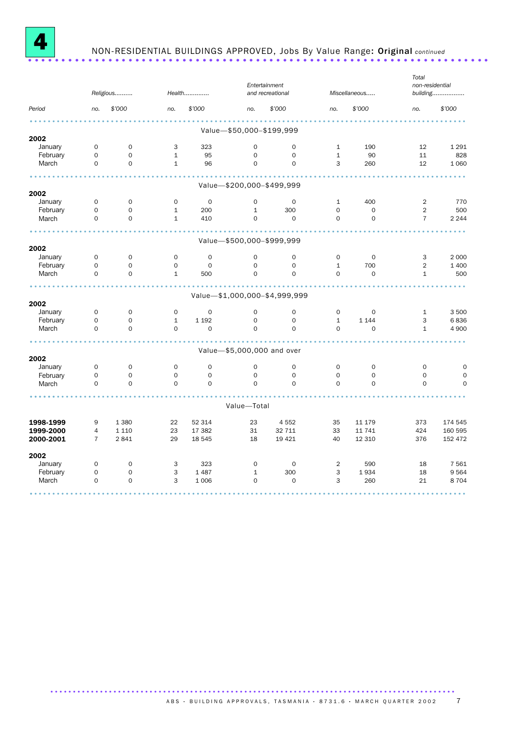

# NON-RESIDENTIAL BUILDINGS APPROVED, Jobs By Value Range: Original *continued* .....................................................................

|           |                     | Religious           |              | Health              | Entertainment<br>and recreational |                               |                | Miscellaneous | Total<br>non-residential<br>building |             |
|-----------|---------------------|---------------------|--------------|---------------------|-----------------------------------|-------------------------------|----------------|---------------|--------------------------------------|-------------|
| Period    | no.                 | \$'000              | no.          | \$'000              | no.                               | \$'000                        | no.            | \$'000        | no.                                  | \$'000      |
|           |                     |                     |              |                     | Value-\$50,000-\$199,999          |                               |                |               |                                      |             |
| 2002      |                     |                     |              |                     |                                   |                               |                |               |                                      |             |
| January   | $\mathsf{O}\xspace$ | $\mathbf 0$         | 3            | 323                 | $\mathbf 0$                       | $\mathbf 0$                   | $\mathbf{1}$   | 190           | 12                                   | 1 2 9 1     |
| February  | $\mathsf O$         | $\mathsf{O}\xspace$ | $\mathbf{1}$ | 95                  | $\mathbf 0$                       | $\mathsf O$                   | $\mathbf{1}$   | 90            | 11                                   | 828         |
| March     | $\mathbf 0$         | $\mathbf 0$         | $\mathbf{1}$ | 96                  | $\mathbf 0$                       | $\mathbf 0$                   | 3              | 260           | 12                                   | 1 0 6 0     |
|           |                     |                     |              |                     | Value-\$200,000-\$499,999         |                               |                |               |                                      |             |
| 2002      |                     |                     |              |                     |                                   |                               |                |               |                                      |             |
| January   | $\mathsf{O}\xspace$ | 0                   | $\mathbf 0$  | $\mathbf 0$         | $\mathbf 0$                       | $\mathbf 0$                   | $\mathbf{1}$   | 400           | $\overline{2}$                       | 770         |
| February  | $\mathbf 0$         | $\mathbf 0$         | $\mathbf{1}$ | 200                 | $\mathbf{1}$                      | 300                           | $\mathbf 0$    | $\mathbf 0$   | $\overline{2}$                       | 500         |
| March     | $\mathbf 0$         | $\mathbf 0$         | $\mathbf{1}$ | 410                 | $\mathbf 0$                       | $\mathbf 0$                   | $\mathbf 0$    | $\mathbf 0$   | $\overline{7}$                       | 2 2 4 4     |
|           |                     |                     |              |                     | Value-\$500,000-\$999,999         |                               |                |               |                                      |             |
| 2002      |                     |                     |              |                     |                                   |                               |                |               |                                      |             |
| January   | $\mathbf 0$         | $\mathbf 0$         | $\mathbf 0$  | $\mathbf 0$         | $\mathbf 0$                       | $\mathbf 0$                   | $\mathbf 0$    | $\mathbf 0$   | 3                                    | 2 0 0 0     |
| February  | $\mathbf 0$         | $\mathsf{O}\xspace$ | 0            | $\mathbf 0$         | $\mathbf 0$                       | $\mathsf{O}\xspace$           | $\mathbf{1}$   | 700           | $\overline{2}$                       | 1 400       |
| March     | $\mathbf 0$         | $\mathbf 0$         | $\mathbf{1}$ | 500                 | $\mathbf 0$                       | $\mathbf 0$                   | $\mathbf 0$    | $\mathbf 0$   | $\mathbf{1}$                         | 500         |
|           |                     |                     |              |                     |                                   | Value-\$1,000,000-\$4,999,999 |                |               |                                      |             |
| 2002      |                     |                     |              |                     |                                   |                               |                |               |                                      |             |
| January   | $\mathbf 0$         | $\mathbf 0$         | $\mathbf 0$  | $\mathsf{O}\xspace$ | $\mathbf 0$                       | $\mathsf{O}\xspace$           | $\mathsf O$    | $\mathbf 0$   | $\mathbf{1}$                         | 3 500       |
| February  | $\mathsf{O}\xspace$ | $\mathsf{O}\xspace$ | $\mathbf 1$  | 1 1 9 2             | $\Omega$                          | $\mathsf{O}\xspace$           | $\mathbf 1$    | 1 1 4 4       | 3                                    | 6836        |
| March     | $\Omega$            | $\mathbf 0$         | $\Omega$     | $\Omega$            | $\Omega$                          | $\Omega$                      | $\Omega$       | $\mathbf 0$   | $\mathbf{1}$                         | 4 9 0 0     |
|           |                     |                     |              |                     | Value-\$5,000,000 and over        |                               |                |               |                                      |             |
| 2002      |                     |                     |              |                     |                                   |                               |                |               |                                      |             |
| January   | $\mathbf 0$         | $\mathbf 0$         | $\mathbf 0$  | $\mathbf 0$         | $\mathbf 0$                       | $\mathbf 0$                   | $\mathbf 0$    | $\mathbf 0$   | $\mathbf 0$                          | $\mathbf 0$ |
| February  | $\mathbf 0$         | $\mathbf 0$         | $\mathbf 0$  | $\mathsf{O}\xspace$ | $\mathbf 0$                       | $\mathbf 0$                   | $\mathbf 0$    | $\mathbf 0$   | $\mathbf 0$                          | $\mathbf 0$ |
| March     | $\Omega$            | $\Omega$            | $\mathbf 0$  | $\Omega$            | $\Omega$                          | $\Omega$                      | $\Omega$       | $\Omega$      | $\Omega$                             | $\mathbf 0$ |
|           |                     |                     |              |                     | Value-Total                       |                               |                |               |                                      |             |
| 1998-1999 | 9                   | 1 3 8 0             | 22           | 52 314              | 23                                | 4552                          | 35             | 11 179        | 373                                  | 174 545     |
| 1999-2000 | 4                   | 1 1 1 0             | 23           | 17 382              | 31                                | 32 711                        | 33             | 11 741        | 424                                  | 160 595     |
| 2000-2001 | $\overline{7}$      | 2841                | 29           | 18 545              | 18                                | 19 4 21                       | 40             | 12 310        | 376                                  | 152 472     |
| 2002      |                     |                     |              |                     |                                   |                               |                |               |                                      |             |
| January   | $\mathsf O$         | $\mathsf{O}\xspace$ | 3            | 323                 | $\mathbf 0$                       | $\mathbf 0$                   | $\overline{2}$ | 590           | 18                                   | 7 5 6 1     |
| February  | $\mathbf 0$         | $\mathbf 0$         | 3            | 1 4 8 7             | $\mathbf{1}$                      | 300                           | 3              | 1934          | 18                                   | 9564        |
| March     | $\mathsf O$         | $\mathbf 0$         | 3            | 1 0 0 6             | $\mathsf{O}\xspace$               | $\mathbf 0$                   | 3              | 260           | 21                                   | 8 7 0 4     |
|           |                     |                     |              |                     |                                   |                               |                |               |                                      |             |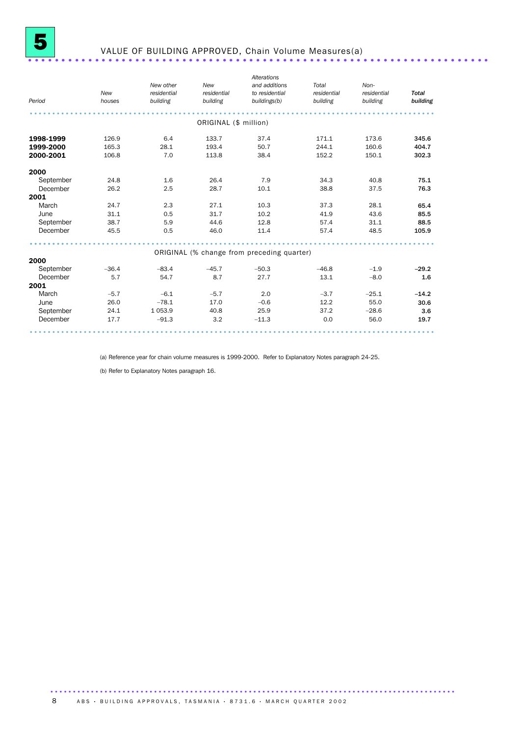

# VALUE OF BUILDING APPROVED, Chain Volume Measures(a) .....................................................................

| Period    | New<br>houses | New other<br>residential<br>building | New<br>residential<br>building | Alterations<br>and additions<br>to residential<br>buildings(b) | Total<br>residential<br>building | Non-<br>residential<br>building | <b>Total</b><br>building |
|-----------|---------------|--------------------------------------|--------------------------------|----------------------------------------------------------------|----------------------------------|---------------------------------|--------------------------|
|           |               |                                      |                                |                                                                |                                  |                                 |                          |
|           |               |                                      | ORIGINAL (\$ million)          |                                                                |                                  |                                 |                          |
| 1998-1999 | 126.9         | 6.4                                  | 133.7                          | 37.4                                                           | 171.1                            | 173.6                           | 345.6                    |
| 1999-2000 | 165.3         | 28.1                                 | 193.4                          | 50.7                                                           | 244.1                            | 160.6                           | 404.7                    |
| 2000-2001 | 106.8         | 7.0                                  | 113.8                          | 38.4                                                           | 152.2                            | 150.1                           | 302.3                    |
| 2000      |               |                                      |                                |                                                                |                                  |                                 |                          |
| September | 24.8          | 1.6                                  | 26.4                           | 7.9                                                            | 34.3                             | 40.8                            | 75.1                     |
| December  | 26.2          | 2.5                                  | 28.7                           | 10.1                                                           | 38.8                             | 37.5                            | 76.3                     |
| 2001      |               |                                      |                                |                                                                |                                  |                                 |                          |
| March     | 24.7          | 2.3                                  | 27.1                           | 10.3                                                           | 37.3                             | 28.1                            | 65.4                     |
| June      | 31.1          | 0.5                                  | 31.7                           | 10.2                                                           | 41.9                             | 43.6                            | 85.5                     |
| September | 38.7          | 5.9                                  | 44.6                           | 12.8                                                           | 57.4                             | 31.1                            | 88.5                     |
| December  | 45.5          | 0.5                                  | 46.0                           | 11.4                                                           | 57.4                             | 48.5                            | 105.9                    |
|           |               |                                      |                                |                                                                |                                  |                                 |                          |
| 2000      |               |                                      |                                | ORIGINAL (% change from preceding quarter)                     |                                  |                                 |                          |
| September | $-36.4$       | $-83.4$                              | $-45.7$                        | $-50.3$                                                        | $-46.8$                          | $-1.9$                          | $-29.2$                  |
| December  | 5.7           | 54.7                                 | 8.7                            | 27.7                                                           | 13.1                             | $-8.0$                          | 1.6                      |
| 2001      |               |                                      |                                |                                                                |                                  |                                 |                          |
| March     | $-5.7$        | $-6.1$                               | $-5.7$                         | 2.0                                                            | $-3.7$                           | $-25.1$                         | $-14.2$                  |
| June      | 26.0          | $-78.1$                              | 17.0                           | $-0.6$                                                         | 12.2                             | 55.0                            | 30.6                     |
| September | 24.1          | 1 0 5 3.9                            | 40.8                           | 25.9                                                           | 37.2                             | $-28.6$                         | 3.6                      |
| December  | 17.7          | $-91.3$                              | 3.2                            | $-11.3$                                                        | 0.0                              | 56.0                            | 19.7                     |
|           |               |                                      |                                |                                                                |                                  |                                 |                          |

(a) Reference year for chain volume measures is 1999-2000. Refer to Explanatory Notes paragraph 24-25.

(b) Refer to Explanatory Notes paragraph 16.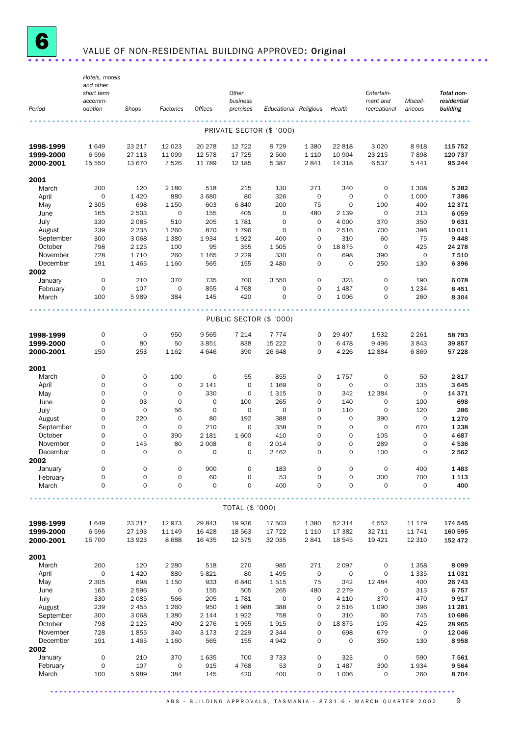

# VALUE OF NON-RESIDENTIAL BUILDING APPROVED: Original ...........................

|                        | Hotels, motels<br>and other<br>short term |                            |                                    |                    | Other                      |                            |                    |                    | Entertain-               |                     | Total non-              |
|------------------------|-------------------------------------------|----------------------------|------------------------------------|--------------------|----------------------------|----------------------------|--------------------|--------------------|--------------------------|---------------------|-------------------------|
| Period                 | accomm-<br>odation                        | Shops                      | Factories                          | <b>Offices</b>     | business<br>premises       | Educational Religious      |                    | Health             | ment and<br>recreational | Miscell-<br>aneous  | residential<br>building |
|                        |                                           |                            |                                    |                    |                            |                            |                    |                    |                          |                     |                         |
|                        |                                           |                            |                                    |                    | PRIVATE SECTOR (\$ '000)   |                            |                    |                    |                          |                     |                         |
| 1998-1999              | 1649                                      | 23 217                     | 12 0 23                            | 20 278             | 12 7 22                    | 9 7 2 9                    | 1 3 8 0            | 22 818             | 3 0 2 0                  | 8918                | 115 752                 |
| 1999-2000<br>2000-2001 | 6596<br>15 550                            | 27 113<br>13 670           | 11 099<br>7 5 2 6                  | 12 578<br>11 789   | 17 725<br>12 185           | 2 500<br>5 3 8 7           | 1 1 1 0<br>2841    | 10 904<br>14 3 18  | 23 215<br>6537           | 7898<br>5441        | 120 737<br>95 244       |
|                        |                                           |                            |                                    |                    |                            |                            |                    |                    |                          |                     |                         |
| 2001                   |                                           |                            |                                    |                    |                            |                            |                    |                    |                          |                     |                         |
| March<br>April         | 200<br>$\mathbf 0$                        | 120<br>1 4 2 0             | 2 180<br>880                       | 518<br>3 6 8 0     | 215<br>80                  | 130<br>326                 | 271<br>$\mathbf 0$ | 340<br>$\mathbf 0$ | 0<br>$\mathbf 0$         | 1 3 0 8<br>1 0 0 0  | 5 2 8 2<br>7 3 8 6      |
| May                    | 2 3 0 5                                   | 698                        | 1 1 5 0                            | 603                | 6840                       | 200                        | 75                 | $\mathbf 0$        | 100                      | 400                 | 12 3 7 1                |
| June                   | 165                                       | 2 5 0 3                    | $\mathbf 0$                        | 155                | 405                        | $\mathbf 0$                | 480                | 2 1 3 9            | $\mathbf 0$              | 213                 | 6059                    |
| July<br>August         | 330<br>239                                | 2 0 8 5<br>2 2 3 5         | 510<br>1 2 6 0                     | 205<br>870         | 1781<br>1796               | $\mathbf 0$<br>$\mathbf 0$ | 0<br>0             | 4 0 0 0<br>2 5 1 6 | 370<br>700               | 350<br>396          | 9631<br>10 011          |
| September              | 300                                       | 3 0 6 8                    | 1 3 8 0                            | 1934               | 1922                       | 400                        | 0                  | 310                | 60                       | 75                  | 9448                    |
| October                | 798                                       | 2 1 2 5                    | 100                                | 95                 | 355                        | 1 505                      | $\mathbf 0$        | 18875              | $\mathbf 0$              | 425                 | 24 278                  |
| November<br>December   | 728<br>191                                | 1 7 1 0<br>1 4 6 5         | 260<br>1 1 6 0                     | 1 1 65<br>565      | 2 2 2 9<br>155             | 330<br>2 4 8 0             | 0<br>$\mathbf 0$   | 698<br>$\mathbf 0$ | 390<br>250               | $\mathsf{O}$<br>130 | 7 5 1 0<br>6396         |
| 2002                   |                                           |                            |                                    |                    |                            |                            |                    |                    |                          |                     |                         |
| January                | $\mathbf 0$                               | 210                        | 370                                | 735                | 700                        | 3 5 5 0                    | 0                  | 323                | $\mathbf 0$              | 190                 | 6078                    |
| February               | $\mathbf 0$                               | 107                        | $\mathsf{O}\xspace$                | 855                | 4768                       | 0                          | $\mathbf 0$        | 1 4 8 7            | $\mathbf 0$              | 1 2 3 4             | 8 4 5 1                 |
| March                  | 100                                       | 5989                       | 384                                | 145                | 420                        | 0                          | $\mathbf 0$        | 1 0 0 6            | 0                        | 260                 | 8 3 0 4                 |
|                        |                                           |                            |                                    |                    | PUBLIC SECTOR (\$ '000)    |                            |                    |                    |                          |                     |                         |
| 1998-1999              | 0                                         | 0                          | 950                                | 9565               | 7 2 1 4                    | 7 7 7 4                    | 0                  | 29 497             | 1532                     | 2 2 6 1             | 58 793                  |
| 1999-2000              | $\mathbf 0$                               | 80                         | 50                                 | 3851               | 838                        | 15 222                     | $\mathbf 0$        | 6478               | 9 4 9 6                  | 3843                | 39857                   |
| 2000-2001              | 150                                       | 253                        | 1 1 6 2                            | 4646               | 390                        | 26 648                     | $\mathbf 0$        | 4 2 2 6            | 12 8 84                  | 6869                | 57 228                  |
| 2001                   |                                           |                            |                                    |                    |                            |                            |                    |                    |                          |                     |                         |
| March                  | 0                                         | 0                          | 100                                | $\mathbf 0$        | 55                         | 855                        | 0                  | 1757               | 0                        | 50                  | 2817                    |
| April<br>May           | $\mathbf 0$<br>$\mathbf 0$                | $\mathbf 0$<br>$\mathbf 0$ | $\mathbf 0$<br>$\mathbf 0$         | 2 1 4 1<br>330     | $\mathbf 0$<br>$\mathbf 0$ | 1 1 6 9<br>1 3 1 5         | 0<br>0             | $\mathbf 0$<br>342 | $\mathbf 0$<br>12 3 84   | 335<br>$\mathbf 0$  | 3645<br>14 3 7 1        |
| June                   | 0                                         | 93                         | $\mathbf 0$                        | $\mathbf 0$        | 100                        | 265                        | 0                  | 140                | 0                        | 100                 | 698                     |
| July                   | $\mathbf 0$                               | $\mathbf 0$                | 56                                 | $\mathbf 0$        | $\mathbf 0$                | $\mathbf 0$                | $\mathbf 0$        | 110                | $\mathsf{O}\xspace$      | 120                 | 286                     |
| August<br>September    | 0<br>$\mathbf 0$                          | 220<br>$\mathbf 0$         | $\mathsf{O}\xspace$<br>$\mathbf 0$ | 80<br>210          | 192<br>$\mathbf 0$         | 388<br>358                 | 0<br>$\mathbf 0$   | 0<br>0             | 390<br>$\mathbf 0$       | 0<br>670            | 1 2 7 0<br>1 2 3 8      |
| October                | $\mathbf 0$                               | $\mathbf 0$                | 390                                | 2 1 8 1            | 1600                       | 410                        | $\mathbf 0$        | $\mathbf 0$        | 105                      | $\mathbf 0$         | 4687                    |
| November               | 0                                         | 145                        | 80                                 | 2 0 0 8            | 0                          | 2014                       | 0                  | 0                  | 289                      | 0                   | 4536                    |
| December               | 0                                         | $\circ$                    | $\mathbf 0$                        | $\mathbf 0$        | $\mathbf 0$                | 2 4 6 2                    | $\mathbf 0$        | $\Omega$           | 100                      | $\mathbf 0$         | 2 5 6 2                 |
| 2002<br>January        | $\mathbf 0$                               | 0                          | $\mathsf{O}\xspace$                | 900                | 0                          | 183                        | 0                  | 0                  | $\mathsf{O}\xspace$      | 400                 | 1483                    |
| February               | 0                                         | 0                          | $\mathsf{O}\xspace$                | 60                 | $\mathsf{O}\xspace$        | 53                         | 0                  | 0                  | 300                      | 700                 | 1 1 1 3                 |
| March                  | 0                                         | 0                          | $\mathbf 0$                        | $\mathbf 0$        | 0                          | 400                        | 0                  | 0                  | 0                        | $\mathbf 0$         | 400                     |
|                        |                                           |                            |                                    |                    | TOTAL (\$ '000)            |                            |                    |                    |                          |                     |                         |
| 1998-1999              | 1649                                      | 23 217                     | 12973                              | 29 843             | 19 9 36                    | 17 503                     | 1 3 8 0            | 52 314             | 4 5 5 2                  | 11 179              | 174 545                 |
| 1999-2000              | 6 5 9 6                                   | 27 193                     | 11 149                             | 16 4 28            | 18 5 63                    | 17 722                     | 1 1 1 0            | 17 382             | 32 711                   | 11 741              | 160 595                 |
| 2000-2001              | 15 700                                    | 13 923                     | 8688                               | 16 435             | 12 575                     | 32 035                     | 2841               | 18 545             | 19 4 21                  | 12 310              | 152 472                 |
| 2001                   |                                           |                            |                                    |                    |                            |                            |                    |                    |                          |                     |                         |
| March                  | 200                                       | 120                        | 2 2 8 0                            | 518                | 270                        | 985                        | 271                | 2 0 9 7            | 0                        | 1358                | 8 0 9 9                 |
| April                  | 0                                         | 1 4 2 0                    | 880                                | 5821               | 80                         | 1 4 9 5                    | $\mathsf O$        | $\mathsf O$        | 0                        | 1 3 3 5             | 11 031                  |
| May<br>June            | 2 3 0 5<br>165                            | 698<br>2 5 9 6             | 1 1 5 0<br>$\mathsf O$             | 933<br>155         | 6840<br>505                | 1515<br>265                | 75<br>480          | 342<br>2 2 7 9     | 12 4 84<br>0             | 400<br>313          | 26 743<br>6757          |
| July                   | 330                                       | 2 0 8 5                    | 566                                | 205                | 1781                       | $\mathsf O$                | 0                  | 4 1 1 0            | 370                      | 470                 | 9917                    |
| August                 | 239                                       | 2 4 5 5                    | 1 2 6 0                            | 950                | 1988                       | 388                        | 0                  | 2516               | 1 0 9 0                  | 396                 | 11 28 1                 |
| September              | 300                                       | 3 0 6 8                    | 1 3 8 0                            | 2 1 4 4            | 1922                       | 758                        | 0                  | 310                | 60                       | 745                 | 10 686                  |
| October<br>November    | 798<br>728                                | 2 1 2 5<br>1855            | 490<br>340                         | 2 2 7 6<br>3 1 7 3 | 1955<br>2 2 2 9            | 1915<br>2 3 4 4            | 0<br>0             | 18875<br>698       | 105<br>679               | 425<br>0            | 28 965<br>12 046        |
| December               | 191                                       | 1 4 6 5                    | 1 1 6 0                            | 565                | 155                        | 4942                       | 0                  | $\mathbf 0$        | 350                      | 130                 | 8958                    |
| 2002                   |                                           |                            |                                    |                    |                            |                            |                    |                    |                          |                     |                         |
| January<br>February    | $\mathbf 0$<br>0                          | 210<br>107                 | 370<br>$\mathbf 0$                 | 1635<br>915        | 700<br>4768                | 3733<br>53                 | 0<br>0             | 323<br>1487        | $\mathbf 0$<br>300       | 590<br>1934         | 7 5 61<br>9564          |
| March                  | 100                                       | 5989                       | 384                                | 145                | 420                        | 400                        | 0                  | 1 0 0 6            | 0                        | 260                 | 8704                    |
|                        |                                           |                            |                                    |                    |                            |                            |                    |                    |                          |                     |                         |

..........................................................................................  $ABS \cdot B$ UILDING APPROVALS, TASMANIA  $\cdot$  8731.6  $\cdot$  MARCH QUARTER 2002 9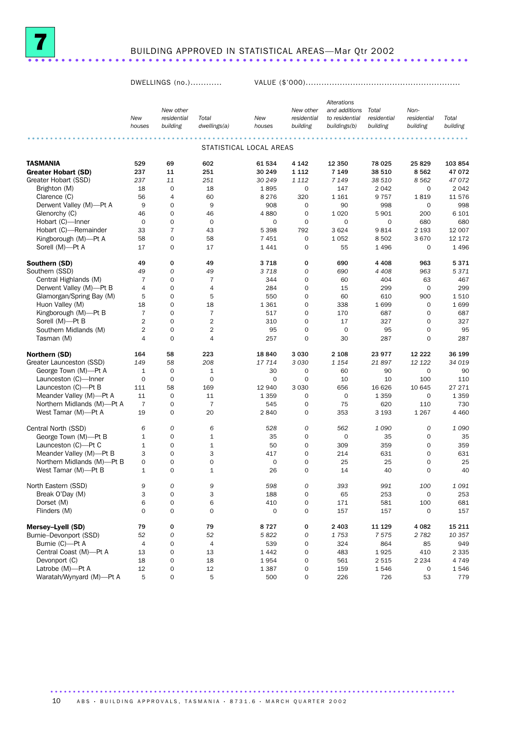

# BUILDING APPROVED IN STATISTICAL AREAS—Mar Qtr 2002 .................................................................. ....

DWELLINGS (no.)............ VALUE (\$'000)...........................................................

|                                          |                |                                    |                |                         |                          | Alterations    |                 |                   |                    |
|------------------------------------------|----------------|------------------------------------|----------------|-------------------------|--------------------------|----------------|-----------------|-------------------|--------------------|
|                                          |                | New other                          |                |                         | New other                | and additions  | Total           | Non-              |                    |
|                                          | New            | residential                        | Total          | New                     | residential              | to residential | residential     | residential       | Total              |
|                                          | houses         | building                           | dwellings(a)   | houses                  | building                 | buildings(b)   | building        | building          | building           |
|                                          |                |                                    |                |                         |                          |                |                 |                   |                    |
|                                          |                |                                    |                | STATISTICAL LOCAL AREAS |                          |                |                 |                   |                    |
| <b>TASMANIA</b>                          | 529            | 69                                 | 602            | 61 534                  | 4 1 4 2                  | 12 350         | 78 025          | 25829             | 103 854            |
| <b>Greater Hobart (SD)</b>               | 237            | 11                                 | 251            | 30 249                  | 1 1 1 2                  | 7 1 4 9        | 38 510          | 8562              | 47 072             |
| Greater Hobart (SSD)                     | 237            | 11                                 | 251            | 30 249                  | 1 1 1 2                  | 7 1 4 9        | 38 510          | 8 5 6 2           | 47 072             |
| Brighton (M)                             | 18             | $\mathbf 0$                        | 18             | 1895                    | 0                        | 147            | 2 0 4 2         | $\mathbf 0$       | 2042               |
| Clarence (C)                             | 56             | $\overline{4}$                     | 60             | 8 2 7 6                 | 320                      | 1 1 6 1        | 9757            | 1819              | 11 576             |
| Derwent Valley (M)-Pt A                  | 9              | $\mathbf 0$                        | 9              | 908                     | 0                        | 90             | 998             | 0                 | 998                |
| Glenorchy (C)                            | 46             | $\mathbf 0$                        | 46             | 4880                    | $\mathbf 0$              | 1 0 2 0        | 5901            | 200               | 6 1 0 1            |
| Hobart (C)-Inner                         | $\mathbf 0$    | $\mathbf 0$                        | $\mathbf 0$    | 0                       | $\mathbf 0$              | $\mathbf 0$    | 0               | 680               | 680                |
| Hobart (C)-Remainder                     | 33             | $\overline{7}$                     | 43             | 5 3 9 8                 | 792                      | 3 6 2 4        | 9814            | 2 1 9 3           | 12 007             |
| Kingborough (M)-Pt A                     | 58             | $\mathbf 0$                        | 58             | 7 4 5 1                 | $\mathbf 0$              | 1 0 5 2        | 8502            | 3670              | 12 172             |
| Sorell (M)-Pt A                          | 17             | $\mathbf 0$                        | 17             | 1441                    | $\mathbf 0$              | 55             | 1496            | 0                 | 1496               |
| Southern (SD)                            | 49             | 0                                  | 49             | 3718                    | 0                        | 690            | 4 4 0 8         | 963               | 5371               |
| Southern (SSD)                           | 49             | $\overline{O}$                     | 49             | 3718                    | $\mathcal{O}$            | 690            | 4 4 0 8         | 963               | 5371               |
| Central Highlands (M)                    | $\overline{7}$ | $\mathbf 0$                        | $\overline{7}$ | 344                     | $\mathbf 0$              | 60             | 404             | 63                | 467                |
| Derwent Valley (M)-Pt B                  | $\overline{4}$ | $\mathbf 0$                        | $\overline{4}$ | 284                     | $\mathbf 0$              | 15             | 299             | $\mathbf 0$       | 299                |
| Glamorgan/Spring Bay (M)                 | 5              | $\mathbf 0$                        | 5              | 550                     | $\mathbf 0$              | 60             | 610             | 900               | 1510               |
| Huon Valley (M)                          | 18             | $\mathbf 0$                        | 18             | 1 3 6 1                 | $\mathbf 0$              | 338            | 1699            | $\mathbf 0$       | 1699               |
| Kingborough (M)-Pt B                     | $\overline{7}$ | $\mathbf 0$                        | $\overline{7}$ | 517                     | $\mathbf 0$              | 170            | 687             | 0                 | 687                |
|                                          | $\overline{2}$ | $\mathbf 0$                        | $\overline{2}$ | 310                     | $\mathbf 0$              | 17             | 327             | 0                 | 327                |
| Sorell (M)-Pt B<br>Southern Midlands (M) | $\overline{2}$ | $\mathbf 0$                        | $\overline{2}$ |                         | $\mathbf 0$              | $\mathbf 0$    |                 | 0                 | 95                 |
|                                          | 4              | $\mathbf 0$                        | $\overline{4}$ | 95<br>257               | $\mathbf 0$              | 30             | 95<br>287       | 0                 | 287                |
| Tasman (M)                               |                |                                    |                |                         |                          |                |                 |                   |                    |
| Northern (SD)                            | 164            | 58                                 | 223            | 18 840                  | 3 0 3 0                  | 2 1 0 8        | 23 977          | 12 2 2 2          | 36 199             |
| Greater Launceston (SSD)                 | 149            | 58                                 | 208            | 17 714                  | 3 0 3 0                  | 1 1 5 4        | 21897           | 12 122            | 34 019             |
| George Town (M)-Pt A                     | $\mathbf{1}$   | $\mathbf 0$                        | $\mathbf 1$    | 30                      | 0                        | 60             | 90              | $\mathbf 0$       | 90                 |
| Launceston (C)-Inner                     | $\mathbf 0$    | $\mathbf 0$                        | $\mathbf 0$    | 0                       | $\mathbf 0$              | 10             | 10              | 100               | 110                |
| Launceston (C)-Pt B                      | 111            | 58                                 | 169            | 12 940                  | 3 0 3 0                  | 656            | 16 626          | 10 645            | 27 27 1            |
| Meander Valley (M)-Pt A                  | 11             | $\mathbf 0$                        | 11             | 1 3 5 9                 | $\mathbf 0$              | $\mathbf 0$    | 1 3 5 9         | $\mathbf 0$       | 1 3 5 9            |
| Northern Midlands (M)-Pt A               | $\overline{7}$ | $\mathbf 0$                        | $\overline{7}$ | 545                     | $\mathbf 0$              | 75             | 620             | 110               | 730                |
| West Tamar (M)-Pt A                      | 19             | $\mathbf 0$                        | 20             | 2840                    | $\mathbf 0$              | 353            | 3 1 9 3         | 1 2 6 7           | 4 4 6 0            |
| Central North (SSD)                      | 6              | 0                                  | 6              | 528                     | 0                        | 562            | 1090            | 0                 | 1090               |
| George Town (M)-Pt B                     | $\mathbf{1}$   | $\mathbf 0$                        | $\mathbf 1$    | 35                      | $\mathbf 0$              | $\mathbf 0$    | 35              | 0                 | 35                 |
| Launceston (C)-Pt C                      | $1\,$          | $\mathbf 0$                        | $\mathbf 1$    | 50                      | 0                        | 309            | 359             | 0                 | 359                |
| Meander Valley (M)-Pt B                  | 3              | $\mathbf 0$                        | 3              | 417                     | $\mathbf 0$              | 214            | 631             | 0                 | 631                |
| Northern Midlands (M)-Pt B               | $\mathbf{O}$   | $\mathbf 0$                        | $\mathbf 0$    | 0                       | $\mathbf 0$              | 25             | 25              | 0                 | 25                 |
| West Tamar (M)-Pt B                      | $\mathbf{1}$   | $\mathbf 0$                        | $\mathbf 1$    | 26                      | $\mathbf 0$              | 14             | 40              | 0                 | 40                 |
| North Eastern (SSD)                      | 9              | 0                                  | 9              | 598                     | $\mathcal{O}$            | 393            | 991             | 100               | 1091               |
| Break O'Day (M)                          | 3              | $\mathsf{O}\xspace$                | 3              | 188                     | 0                        | 65             | 253             | 0                 | 253                |
| Dorset (M)                               | 6              | $\mathsf{O}\xspace$                | 6              | 410                     | 0                        | 171            | 581             | 100               | 681                |
| Flinders (M)                             | $\mathbf 0$    | $\mathbf 0$                        | $\mathbf 0$    | $\mathbf 0$             | $\mathbf 0$              | 157            | 157             | 0                 | 157                |
| Mersey-Lyell (SD)                        | 79             | 0                                  | 79             | 8727                    | 0                        | 2 4 0 3        | 11 129          | 4 0 8 2           | 15 2 11            |
| Burnie-Devonport (SSD)                   | 52             | ${\cal O}$                         | 52             | 5822                    | 0                        | 1753           | 7575            | 2 7 8 2           | 10 357             |
| Burnie (C)-Pt A                          | 4              | $\mathsf{O}\xspace$                | 4              | 539                     | 0                        | 324            | 864             |                   | 949                |
| Central Coast (M)-Pt A                   |                | $\mathbf 0$                        |                |                         |                          |                |                 | 85                |                    |
| Devonport (C)                            | 13<br>18       | $\mathsf{O}\xspace$                | 13<br>18       | 1 4 4 2<br>1954         | 0<br>0                   | 483<br>561     | 1925<br>2 5 1 5 | 410               | 2 3 3 5<br>4 7 4 9 |
| Latrobe (M)-Pt A                         |                |                                    |                |                         |                          |                |                 | 2 2 3 4           |                    |
| Waratah/Wynyard (M)-Pt A                 | 12<br>5        | $\mathsf{O}\xspace$<br>$\mathbf 0$ | 12<br>5        | 1387<br>500             | 0<br>$\mathsf{O}\xspace$ | 159<br>226     | 1546<br>726     | $\mathsf O$<br>53 | 1546<br>779        |
|                                          |                |                                    |                |                         |                          |                |                 |                   |                    |

10 ABS · BUILDING APPROVALS, TASMANIA · 8731.6 · MARCH QUARTER 2002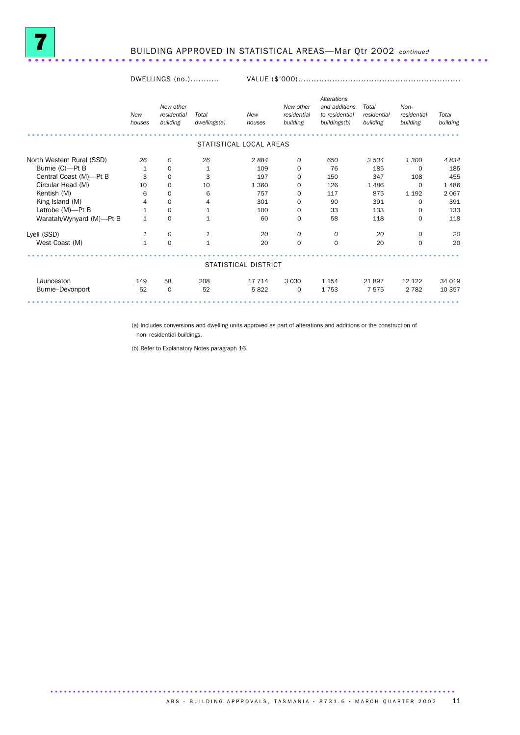

# BUILDING APPROVED IN STATISTICAL AREAS—Mar Qtr 2002 *continued* ..................................................................... .

#### DWELLINGS (no.)........... VALUE (\$'000)..............................................................

|                           | <b>New</b><br>houses | New other<br>residential<br>building | Total<br>dwellings(a) | New<br>houses           | New other<br>residential<br>building | Alterations<br>and additions<br>to residential<br>buildings(b) | Total<br>residential<br>building | Non-<br>residential<br>building | Total<br>building |
|---------------------------|----------------------|--------------------------------------|-----------------------|-------------------------|--------------------------------------|----------------------------------------------------------------|----------------------------------|---------------------------------|-------------------|
|                           |                      |                                      |                       | STATISTICAL LOCAL AREAS |                                      |                                                                |                                  |                                 |                   |
| North Western Rural (SSD) | 26                   | 0                                    | 26                    | 2884                    | 0                                    | 650                                                            | 3 5 3 4                          | 1 300                           | 4834              |
| Burnie (C)-Pt B           | 1                    | $\mathbf 0$                          | 1                     | 109                     | 0                                    | 76                                                             | 185                              | 0                               | 185               |
| Central Coast (M)-Pt B    | 3                    | $\mathbf 0$                          | 3                     | 197                     | 0                                    | 150                                                            | 347                              | 108                             | 455               |
| Circular Head (M)         | 10                   | $\mathbf 0$                          | 10                    | 1 3 6 0                 | 0                                    | 126                                                            | 1 4 8 6                          | $\Omega$                        | 1 4 8 6           |
| Kentish (M)               | 6                    | $\mathbf 0$                          | 6                     | 757                     | 0                                    | 117                                                            | 875                              | 1 1 9 2                         | 2 0 6 7           |
| King Island (M)           | 4                    | $\mathbf 0$                          | 4                     | 301                     | 0                                    | 90                                                             | 391                              | 0                               | 391               |
| Latrobe (M)-Pt B          | $1\,$                | $\mathbf 0$                          | $\mathbf{1}$          | 100                     | 0                                    | 33                                                             | 133                              | 0                               | 133               |
| Waratah/Wynyard (M)-Pt B  | $\mathbf 1$          | $\mathbf 0$                          | 1                     | 60                      | 0                                    | 58                                                             | 118                              | 0                               | 118               |
| Lyell (SSD)               | 1                    | $\mathcal{O}$                        | 1                     | 20                      | $\mathcal{O}$                        | 0                                                              | 20                               | $\mathcal{O}$                   | 20                |
| West Coast (M)            | $\mathbf{1}$         | $\mathbf 0$                          | $\mathbf{1}$          | 20                      | $\mathbf 0$                          | $\mathbf 0$                                                    | 20                               | $\mathbf 0$                     | 20                |
|                           |                      |                                      |                       |                         |                                      |                                                                |                                  |                                 |                   |
|                           |                      |                                      |                       | STATISTICAL DISTRICT    |                                      |                                                                |                                  |                                 |                   |
| Launceston                | 149                  | 58                                   | 208                   | 17 714                  | 3 0 3 0                              | 1 1 5 4                                                        | 21897                            | 12 122                          | 34 019            |
| Burnie-Devonport          | 52                   | 0                                    | 52                    | 5822                    | 0                                    | 1753                                                           | 7575                             | 2 7 8 2                         | 10 357            |
|                           |                      |                                      |                       |                         |                                      |                                                                |                                  |                                 |                   |

(a) Includes conversions and dwelling units approved as part of alterations and additions or the construction of non–residential buildings.

(b) Refer to Explanatory Notes paragraph 16.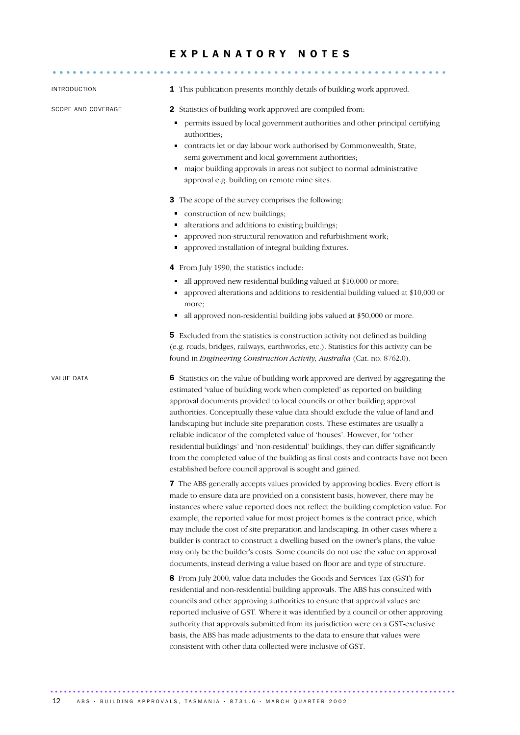# E X P L A N A T O R Y N O T E S

| INTRODUCTION       | 1 This publication presents monthly details of building work approved.                                                                                                                                                                                                                                                                                                                                                                                                                                                                                                                                                                                                                                                                     |
|--------------------|--------------------------------------------------------------------------------------------------------------------------------------------------------------------------------------------------------------------------------------------------------------------------------------------------------------------------------------------------------------------------------------------------------------------------------------------------------------------------------------------------------------------------------------------------------------------------------------------------------------------------------------------------------------------------------------------------------------------------------------------|
| SCOPE AND COVERAGE | <b>2</b> Statistics of building work approved are compiled from:<br>permits issued by local government authorities and other principal certifying<br>authorities;<br>contracts let or day labour work authorised by Commonwealth, State,<br>Ξ<br>semi-government and local government authorities;<br>major building approvals in areas not subject to normal administrative<br>٠<br>approval e.g. building on remote mine sites.                                                                                                                                                                                                                                                                                                          |
|                    | <b>3</b> The scope of the survey comprises the following:<br>construction of new buildings;<br>Ξ<br>alterations and additions to existing buildings;<br>п<br>approved non-structural renovation and refurbishment work;<br>approved installation of integral building fixtures.                                                                                                                                                                                                                                                                                                                                                                                                                                                            |
|                    |                                                                                                                                                                                                                                                                                                                                                                                                                                                                                                                                                                                                                                                                                                                                            |
|                    | 4 From July 1990, the statistics include:<br>all approved new residential building valued at \$10,000 or more;<br>approved alterations and additions to residential building valued at \$10,000 or<br>more;<br>all approved non-residential building jobs valued at \$50,000 or more.<br>٠                                                                                                                                                                                                                                                                                                                                                                                                                                                 |
|                    | <b>5</b> Excluded from the statistics is construction activity not defined as building<br>(e.g. roads, bridges, railways, earthworks, etc.). Statistics for this activity can be<br>found in Engineering Construction Activity, Australia (Cat. no. 8762.0).                                                                                                                                                                                                                                                                                                                                                                                                                                                                               |
| VALUE DATA         | 6 Statistics on the value of building work approved are derived by aggregating the<br>estimated 'value of building work when completed' as reported on building<br>approval documents provided to local councils or other building approval<br>authorities. Conceptually these value data should exclude the value of land and<br>landscaping but include site preparation costs. These estimates are usually a<br>reliable indicator of the completed value of 'houses'. However, for 'other<br>residential buildings' and 'non-residential' buildings, they can differ significantly<br>from the completed value of the building as final costs and contracts have not been<br>established before council approval is sought and gained. |
|                    | 7 The ABS generally accepts values provided by approving bodies. Every effort is<br>made to ensure data are provided on a consistent basis, however, there may be<br>instances where value reported does not reflect the building completion value. For<br>example, the reported value for most project homes is the contract price, which<br>may include the cost of site preparation and landscaping. In other cases where a<br>builder is contract to construct a dwelling based on the owner's plans, the value<br>may only be the builder's costs. Some councils do not use the value on approval<br>documents, instead deriving a value based on floor are and type of structure.                                                    |
|                    | 8 From July 2000, value data includes the Goods and Services Tax (GST) for<br>residential and non-residential building approvals. The ABS has consulted with<br>councils and other approving authorities to ensure that approval values are<br>reported inclusive of GST. Where it was identified by a council or other approving<br>authority that approvals submitted from its jurisdiction were on a GST-exclusive<br>basis, the ABS has made adjustments to the data to ensure that values were<br>consistent with other data collected were inclusive of GST.                                                                                                                                                                         |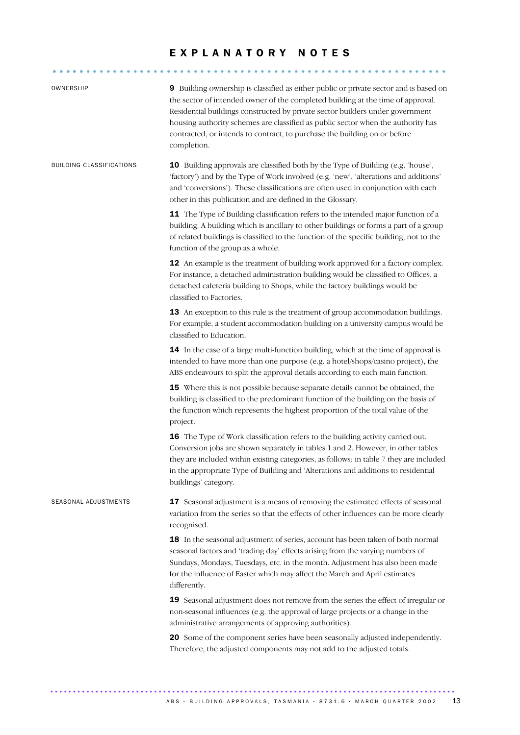## EXPLANATORY NOTES

........................................................... .....

| OWNERSHIP                       | 9 Building ownership is classified as either public or private sector and is based on<br>the sector of intended owner of the completed building at the time of approval.<br>Residential buildings constructed by private sector builders under government<br>housing authority schemes are classified as public sector when the authority has<br>contracted, or intends to contract, to purchase the building on or before<br>completion. |
|---------------------------------|-------------------------------------------------------------------------------------------------------------------------------------------------------------------------------------------------------------------------------------------------------------------------------------------------------------------------------------------------------------------------------------------------------------------------------------------|
| <b>BUILDING CLASSIFICATIONS</b> | <b>10</b> Building approvals are classified both by the Type of Building (e.g. 'house',<br>'factory') and by the Type of Work involved (e.g. 'new', 'alterations and additions'<br>and 'conversions'). These classifications are often used in conjunction with each<br>other in this publication and are defined in the Glossary.                                                                                                        |
|                                 | 11 The Type of Building classification refers to the intended major function of a<br>building. A building which is ancillary to other buildings or forms a part of a group<br>of related buildings is classified to the function of the specific building, not to the<br>function of the group as a whole.                                                                                                                                |
|                                 | 12 An example is the treatment of building work approved for a factory complex.<br>For instance, a detached administration building would be classified to Offices, a<br>detached cafeteria building to Shops, while the factory buildings would be<br>classified to Factories.                                                                                                                                                           |
|                                 | 13 An exception to this rule is the treatment of group accommodation buildings.<br>For example, a student accommodation building on a university campus would be<br>classified to Education.                                                                                                                                                                                                                                              |
|                                 | 14 In the case of a large multi-function building, which at the time of approval is<br>intended to have more than one purpose (e.g. a hotel/shops/casino project), the<br>ABS endeavours to split the approval details according to each main function.                                                                                                                                                                                   |
|                                 | 15 Where this is not possible because separate details cannot be obtained, the<br>building is classified to the predominant function of the building on the basis of<br>the function which represents the highest proportion of the total value of the<br>project.                                                                                                                                                                        |
|                                 | 16 The Type of Work classification refers to the building activity carried out.<br>Conversion jobs are shown separately in tables 1 and 2. However, in other tables<br>they are included within existing categories, as follows: in table 7 they are included<br>in the appropriate Type of Building and 'Alterations and additions to residential<br>buildings' category.                                                                |
| SEASONAL ADJUSTMENTS            | 17 Seasonal adjustment is a means of removing the estimated effects of seasonal<br>variation from the series so that the effects of other influences can be more clearly<br>recognised.                                                                                                                                                                                                                                                   |
|                                 | 18 In the seasonal adjustment of series, account has been taken of both normal<br>seasonal factors and 'trading day' effects arising from the varying numbers of<br>Sundays, Mondays, Tuesdays, etc. in the month. Adjustment has also been made<br>for the influence of Easter which may affect the March and April estimates<br>differently.                                                                                            |
|                                 | 19 Seasonal adjustment does not remove from the series the effect of irregular or<br>non-seasonal influences (e.g. the approval of large projects or a change in the<br>administrative arrangements of approving authorities).                                                                                                                                                                                                            |
|                                 | 20 Some of the component series have been seasonally adjusted independently.<br>Therefore, the adjusted components may not add to the adjusted totals.                                                                                                                                                                                                                                                                                    |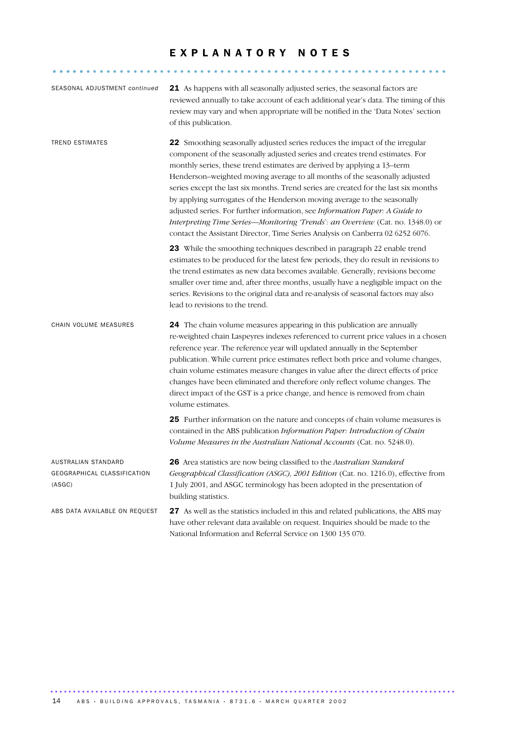### E X P L A N A T O R Y N O T E S

........................................................... .....

| SEASONAL ADJUSTMENT continued                                | 21 As happens with all seasonally adjusted series, the seasonal factors are<br>reviewed annually to take account of each additional year's data. The timing of this<br>review may vary and when appropriate will be notified in the 'Data Notes' section<br>of this publication.                                                                                                                                                                                                                                                                                                                                                                                                                                                           |
|--------------------------------------------------------------|--------------------------------------------------------------------------------------------------------------------------------------------------------------------------------------------------------------------------------------------------------------------------------------------------------------------------------------------------------------------------------------------------------------------------------------------------------------------------------------------------------------------------------------------------------------------------------------------------------------------------------------------------------------------------------------------------------------------------------------------|
| <b>TREND ESTIMATES</b>                                       | 22 Smoothing seasonally adjusted series reduces the impact of the irregular<br>component of the seasonally adjusted series and creates trend estimates. For<br>monthly series, these trend estimates are derived by applying a 13–term<br>Henderson-weighted moving average to all months of the seasonally adjusted<br>series except the last six months. Trend series are created for the last six months<br>by applying surrogates of the Henderson moving average to the seasonally<br>adjusted series. For further information, see Information Paper: A Guide to<br>Interpreting Time Series-Monitoring 'Trends': an Overview (Cat. no. 1348.0) or<br>contact the Assistant Director, Time Series Analysis on Canberra 02 6252 6076. |
|                                                              | 23 While the smoothing techniques described in paragraph 22 enable trend<br>estimates to be produced for the latest few periods, they do result in revisions to<br>the trend estimates as new data becomes available. Generally, revisions become<br>smaller over time and, after three months, usually have a negligible impact on the<br>series. Revisions to the original data and re-analysis of seasonal factors may also<br>lead to revisions to the trend.                                                                                                                                                                                                                                                                          |
| CHAIN VOLUME MEASURES                                        | 24 The chain volume measures appearing in this publication are annually<br>re-weighted chain Laspeyres indexes referenced to current price values in a chosen<br>reference year. The reference year will updated annually in the September<br>publication. While current price estimates reflect both price and volume changes,<br>chain volume estimates measure changes in value after the direct effects of price<br>changes have been eliminated and therefore only reflect volume changes. The<br>direct impact of the GST is a price change, and hence is removed from chain<br>volume estimates.                                                                                                                                    |
|                                                              | 25 Further information on the nature and concepts of chain volume measures is<br>contained in the ABS publication Information Paper: Introduction of Chain<br>Volume Measures in the Australian National Accounts (Cat. no. 5248.0).                                                                                                                                                                                                                                                                                                                                                                                                                                                                                                       |
| AUSTRALIAN STANDARD<br>GEOGRAPHICAL CLASSIFICATION<br>(ASGC) | 26 Area statistics are now being classified to the Australian Standard<br>Geographical Classification (ASGC), 2001 Edition (Cat. no. 1216.0), effective from<br>1 July 2001, and ASGC terminology has been adopted in the presentation of<br>building statistics.                                                                                                                                                                                                                                                                                                                                                                                                                                                                          |
| ABS DATA AVAILABLE ON REQUEST                                | 27 As well as the statistics included in this and related publications, the ABS may<br>have other relevant data available on request. Inquiries should be made to the                                                                                                                                                                                                                                                                                                                                                                                                                                                                                                                                                                      |

National Information and Referral Service on 1300 135 070.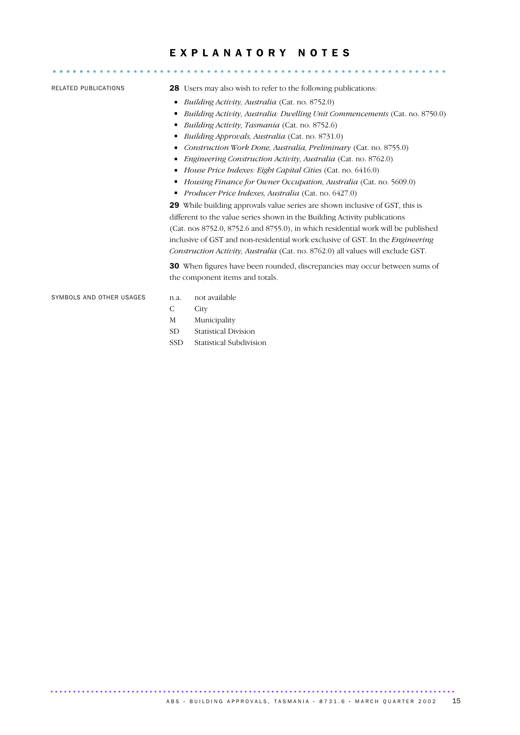# E X P L A N A T O R Y N O T E S ........................................................... .....

- RELATED PUBLICATIONS 28 Users may also wish to refer to the following publications:
	- *Building Activity, Australia* (Cat. no. 8752.0)
	- *Building Activity, Australia: Dwelling Unit Commencements* (Cat. no. 8750.0)
	- *Building Activity, Tasmania* (Cat. no. 8752.6)
	- *Building Approvals, Australia* (Cat. no. 8731.0)
	- *Construction Work Done, Australia, Preliminary* (Cat. no. 8755.0)
	- *Engineering Construction Activity, Australia* (Cat. no. 8762.0)
	- *House Price Indexes: Eight Capital Cities* (Cat. no. 6416.0)
	- *Housing Finance for Owner Occupation, Australia* (Cat. no. 5609.0)
	- *Producer Price Indexes, Australia* (Cat. no. 6427.0)

29 While building approvals value series are shown inclusive of GST, this is different to the value series shown in the Building Activity publications (Cat. nos 8752.0, 8752.6 and 8755.0), in which residential work will be published inclusive of GST and non-residential work exclusive of GST. In the *Engineering Construction Activity, Australia* (Cat. no. 8762.0) all values will exclude GST.

30 When figures have been rounded, discrepancies may occur between sums of the component items and totals.

SYMBOLS AND OTHER USAGES n.a. not available

- 
- C City
- M Municipality
- SD Statistical Division
- SSD Statistical Subdivision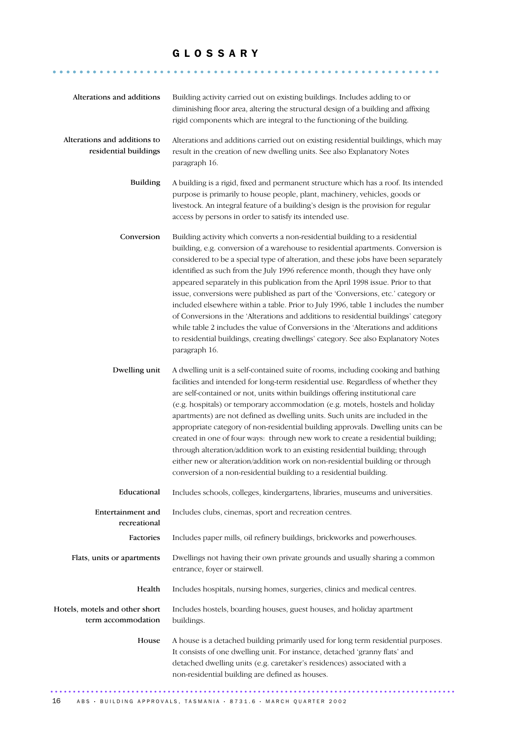### G L O S S A R Y

.......................................................... .......

| Alterations and additions                             | Building activity carried out on existing buildings. Includes adding to or<br>diminishing floor area, altering the structural design of a building and affixing<br>rigid components which are integral to the functioning of the building.                                                                                                                                                                                                                                                                                                                                                                                                                                                                                                                                                                                                                                               |
|-------------------------------------------------------|------------------------------------------------------------------------------------------------------------------------------------------------------------------------------------------------------------------------------------------------------------------------------------------------------------------------------------------------------------------------------------------------------------------------------------------------------------------------------------------------------------------------------------------------------------------------------------------------------------------------------------------------------------------------------------------------------------------------------------------------------------------------------------------------------------------------------------------------------------------------------------------|
| Alterations and additions to<br>residential buildings | Alterations and additions carried out on existing residential buildings, which may<br>result in the creation of new dwelling units. See also Explanatory Notes<br>paragraph 16.                                                                                                                                                                                                                                                                                                                                                                                                                                                                                                                                                                                                                                                                                                          |
| <b>Building</b>                                       | A building is a rigid, fixed and permanent structure which has a roof. Its intended<br>purpose is primarily to house people, plant, machinery, vehicles, goods or<br>livestock. An integral feature of a building's design is the provision for regular<br>access by persons in order to satisfy its intended use.                                                                                                                                                                                                                                                                                                                                                                                                                                                                                                                                                                       |
| Conversion                                            | Building activity which converts a non-residential building to a residential<br>building, e.g. conversion of a warehouse to residential apartments. Conversion is<br>considered to be a special type of alteration, and these jobs have been separately<br>identified as such from the July 1996 reference month, though they have only<br>appeared separately in this publication from the April 1998 issue. Prior to that<br>issue, conversions were published as part of the 'Conversions, etc.' category or<br>included elsewhere within a table. Prior to July 1996, table 1 includes the number<br>of Conversions in the 'Alterations and additions to residential buildings' category<br>while table 2 includes the value of Conversions in the 'Alterations and additions<br>to residential buildings, creating dwellings' category. See also Explanatory Notes<br>paragraph 16. |
| Dwelling unit                                         | A dwelling unit is a self-contained suite of rooms, including cooking and bathing<br>facilities and intended for long-term residential use. Regardless of whether they<br>are self-contained or not, units within buildings offering institutional care<br>(e.g. hospitals) or temporary accommodation (e.g. motels, hostels and holiday<br>apartments) are not defined as dwelling units. Such units are included in the<br>appropriate category of non-residential building approvals. Dwelling units can be<br>created in one of four ways: through new work to create a residential building;<br>through alteration/addition work to an existing residential building; through<br>either new or alteration/addition work on non-residential building or through<br>conversion of a non-residential building to a residential building.                                               |
| Educational                                           | Includes schools, colleges, kindergartens, libraries, museums and universities.                                                                                                                                                                                                                                                                                                                                                                                                                                                                                                                                                                                                                                                                                                                                                                                                          |
| Entertainment and<br>recreational                     | Includes clubs, cinemas, sport and recreation centres.                                                                                                                                                                                                                                                                                                                                                                                                                                                                                                                                                                                                                                                                                                                                                                                                                                   |
| Factories                                             | Includes paper mills, oil refinery buildings, brickworks and powerhouses.                                                                                                                                                                                                                                                                                                                                                                                                                                                                                                                                                                                                                                                                                                                                                                                                                |
| Flats, units or apartments                            | Dwellings not having their own private grounds and usually sharing a common<br>entrance, foyer or stairwell.                                                                                                                                                                                                                                                                                                                                                                                                                                                                                                                                                                                                                                                                                                                                                                             |
| Health                                                | Includes hospitals, nursing homes, surgeries, clinics and medical centres.                                                                                                                                                                                                                                                                                                                                                                                                                                                                                                                                                                                                                                                                                                                                                                                                               |
| Hotels, motels and other short<br>term accommodation  | Includes hostels, boarding houses, guest houses, and holiday apartment<br>buildings.                                                                                                                                                                                                                                                                                                                                                                                                                                                                                                                                                                                                                                                                                                                                                                                                     |
| House                                                 | A house is a detached building primarily used for long term residential purposes.<br>It consists of one dwelling unit. For instance, detached 'granny flats' and<br>detached dwelling units (e.g. caretaker's residences) associated with a<br>non-residential building are defined as houses.                                                                                                                                                                                                                                                                                                                                                                                                                                                                                                                                                                                           |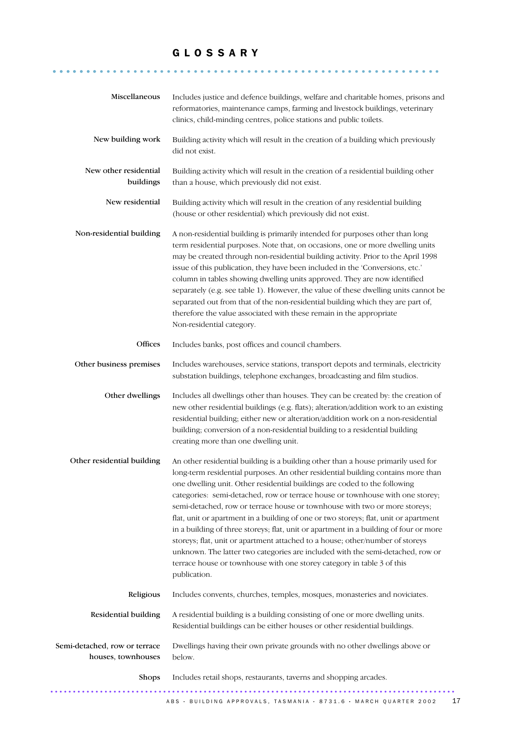## G L O S S A R Y

.......................................................... .......

| Miscellaneous                                       | Includes justice and defence buildings, welfare and charitable homes, prisons and<br>reformatories, maintenance camps, farming and livestock buildings, veterinary<br>clinics, child-minding centres, police stations and public toilets.                                                                                                                                                                                                                                                                                                                                                                                                                                                                                                                                                                                                                       |
|-----------------------------------------------------|-----------------------------------------------------------------------------------------------------------------------------------------------------------------------------------------------------------------------------------------------------------------------------------------------------------------------------------------------------------------------------------------------------------------------------------------------------------------------------------------------------------------------------------------------------------------------------------------------------------------------------------------------------------------------------------------------------------------------------------------------------------------------------------------------------------------------------------------------------------------|
| New building work                                   | Building activity which will result in the creation of a building which previously<br>did not exist.                                                                                                                                                                                                                                                                                                                                                                                                                                                                                                                                                                                                                                                                                                                                                            |
| New other residential<br>buildings                  | Building activity which will result in the creation of a residential building other<br>than a house, which previously did not exist.                                                                                                                                                                                                                                                                                                                                                                                                                                                                                                                                                                                                                                                                                                                            |
| New residential                                     | Building activity which will result in the creation of any residential building<br>(house or other residential) which previously did not exist.                                                                                                                                                                                                                                                                                                                                                                                                                                                                                                                                                                                                                                                                                                                 |
| Non-residential building                            | A non-residential building is primarily intended for purposes other than long<br>term residential purposes. Note that, on occasions, one or more dwelling units<br>may be created through non-residential building activity. Prior to the April 1998<br>issue of this publication, they have been included in the 'Conversions, etc.'<br>column in tables showing dwelling units approved. They are now identified<br>separately (e.g. see table 1). However, the value of these dwelling units cannot be<br>separated out from that of the non-residential building which they are part of,<br>therefore the value associated with these remain in the appropriate<br>Non-residential category.                                                                                                                                                                |
| Offices                                             | Includes banks, post offices and council chambers.                                                                                                                                                                                                                                                                                                                                                                                                                                                                                                                                                                                                                                                                                                                                                                                                              |
| Other business premises                             | Includes warehouses, service stations, transport depots and terminals, electricity<br>substation buildings, telephone exchanges, broadcasting and film studios.                                                                                                                                                                                                                                                                                                                                                                                                                                                                                                                                                                                                                                                                                                 |
| Other dwellings                                     | Includes all dwellings other than houses. They can be created by: the creation of<br>new other residential buildings (e.g. flats); alteration/addition work to an existing<br>residential building; either new or alteration/addition work on a non-residential<br>building; conversion of a non-residential building to a residential building<br>creating more than one dwelling unit.                                                                                                                                                                                                                                                                                                                                                                                                                                                                        |
| Other residential building                          | An other residential building is a building other than a house primarily used for<br>long-term residential purposes. An other residential building contains more than<br>one dwelling unit. Other residential buildings are coded to the following<br>categories: semi-detached, row or terrace house or townhouse with one storey;<br>semi-detached, row or terrace house or townhouse with two or more storeys;<br>flat, unit or apartment in a building of one or two storeys; flat, unit or apartment<br>in a building of three storeys; flat, unit or apartment in a building of four or more<br>storeys; flat, unit or apartment attached to a house; other/number of storeys<br>unknown. The latter two categories are included with the semi-detached, row or<br>terrace house or townhouse with one storey category in table 3 of this<br>publication. |
| Religious                                           | Includes convents, churches, temples, mosques, monasteries and noviciates.                                                                                                                                                                                                                                                                                                                                                                                                                                                                                                                                                                                                                                                                                                                                                                                      |
| Residential building                                | A residential building is a building consisting of one or more dwelling units.<br>Residential buildings can be either houses or other residential buildings.                                                                                                                                                                                                                                                                                                                                                                                                                                                                                                                                                                                                                                                                                                    |
| Semi-detached, row or terrace<br>houses, townhouses | Dwellings having their own private grounds with no other dwellings above or<br>below.                                                                                                                                                                                                                                                                                                                                                                                                                                                                                                                                                                                                                                                                                                                                                                           |
| Shops                                               | Includes retail shops, restaurants, taverns and shopping arcades.                                                                                                                                                                                                                                                                                                                                                                                                                                                                                                                                                                                                                                                                                                                                                                                               |
|                                                     | 17<br>ABS • BUILDING APPROVALS, TASMANIA • 8731.6 • MARCH QUARTER 2002                                                                                                                                                                                                                                                                                                                                                                                                                                                                                                                                                                                                                                                                                                                                                                                          |